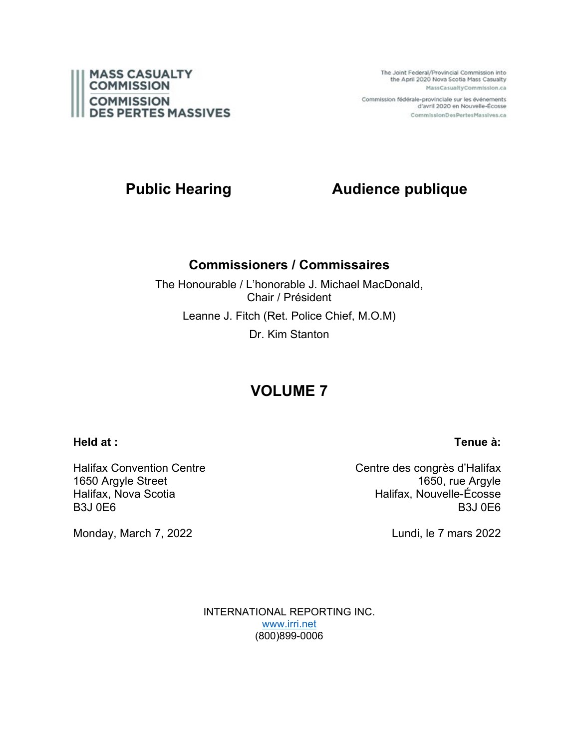

The Joint Federal/Provincial Commission into the April 2020 Nova Scotia Mass Casualty MassCasualtyCommission.ca

Commission fédérale-provinciale sur les événements d'avril 2020 en Nouvelle-Écosse CommissionDesPertesMassives.ca

# **Public Hearing Audience publique**

### **Commissioners / Commissaires**

The Honourable / L'honorable J. Michael MacDonald, Chair / Président Leanne J. Fitch (Ret. Police Chief, M.O.M) Dr. Kim Stanton

# **VOLUME 7**

### **Held at :**

Halifax Convention Centre 1650 Argyle Street Halifax, Nova Scotia B3J 0E6

Monday, March 7, 2022

Centre des congrès d'Halifax 1650, rue Argyle Halifax, Nouvelle-Écosse B3J 0E6

Lundi, le 7 mars 2022

INTERNATIONAL REPORTING INC. [www.irri.net](http://www.irri.net/) (800)899-0006

# **Tenue à:**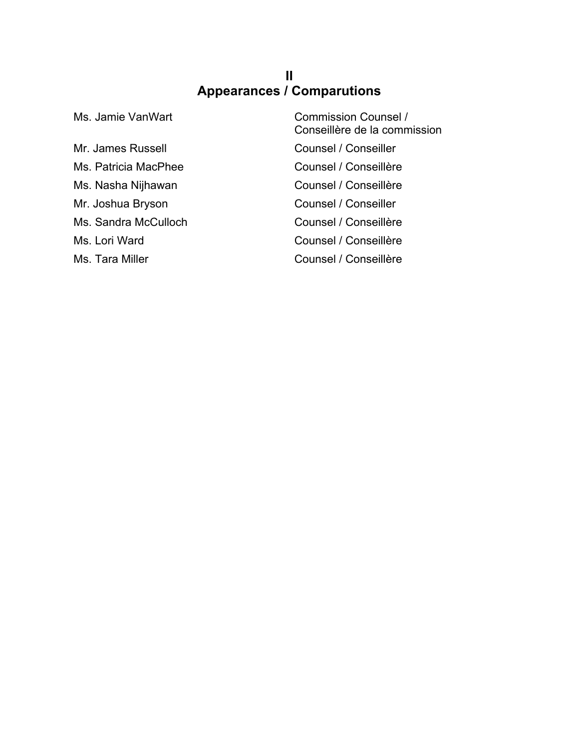### **II Appearances / Comparutions**

Mr. James Russell **Counsel / Conseiller** Ms. Patricia MacPhee Counsel / Conseillère Ms. Nasha Nijhawan **Counsel / Conseillère** Mr. Joshua Bryson Counsel / Conseiller Ms. Sandra McCulloch Counsel / Conseillère Ms. Lori Ward **Counsel / Conseillère** 

Ms. Jamie VanWart Commission Counsel / Conseillère de la commission Ms. Tara Miller Counsel / Conseillère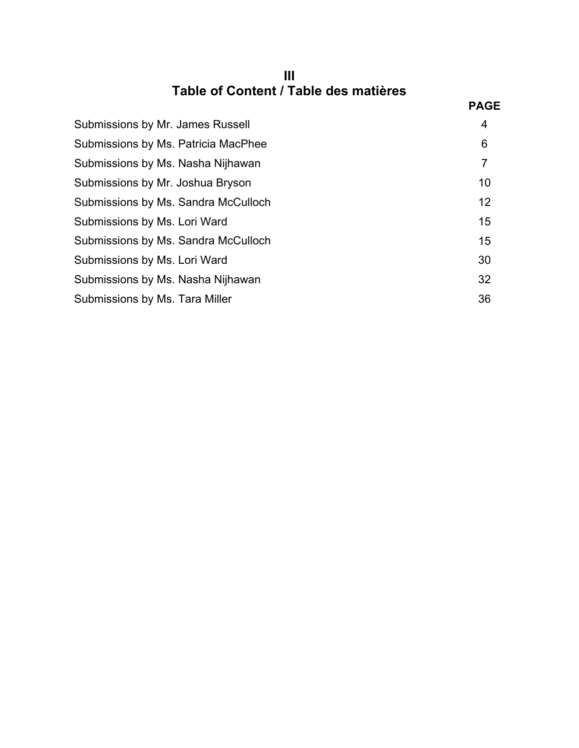| Table of Content / Table des matières |  |
|---------------------------------------|--|

|                                     | <b>PAGE</b>    |
|-------------------------------------|----------------|
| Submissions by Mr. James Russell    | 4              |
| Submissions by Ms. Patricia MacPhee | 6              |
| Submissions by Ms. Nasha Nijhawan   | $\overline{7}$ |
| Submissions by Mr. Joshua Bryson    | 10             |
| Submissions by Ms. Sandra McCulloch | 12             |
| Submissions by Ms. Lori Ward        | 15             |
| Submissions by Ms. Sandra McCulloch | 15             |
| Submissions by Ms. Lori Ward        | 30             |
| Submissions by Ms. Nasha Nijhawan   | 32             |
| Submissions by Ms. Tara Miller      | 36             |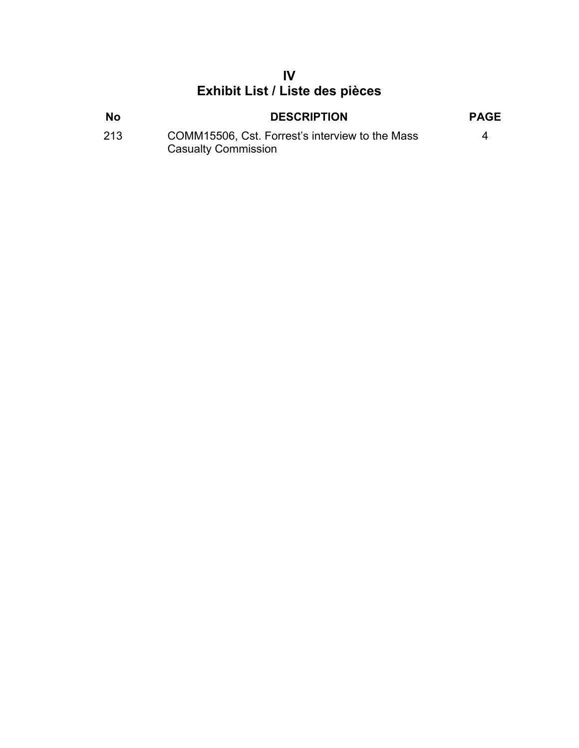## **IV Exhibit List / Liste des pièces**

| <b>No</b> | <b>DESCRIPTION</b>                              | <b>PAGE</b> |
|-----------|-------------------------------------------------|-------------|
| 213       | COMM15506, Cst. Forrest's interview to the Mass | Δ           |
|           | <b>Casualty Commission</b>                      |             |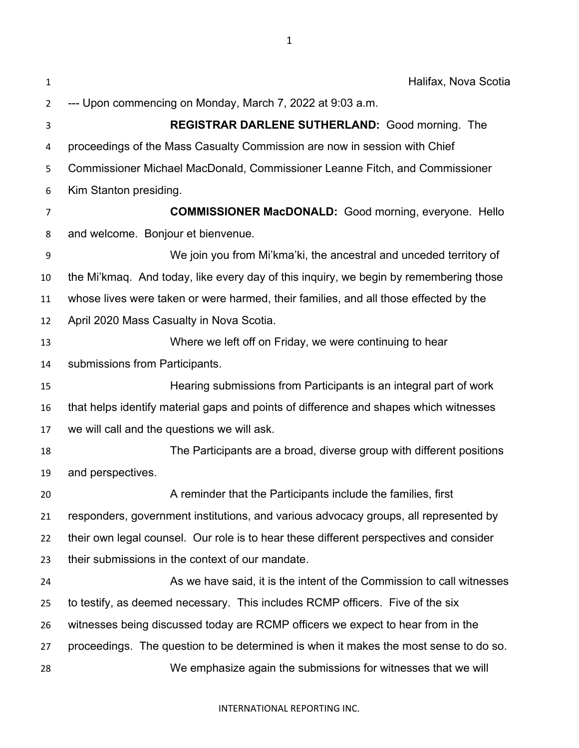| $\mathbf{1}$   | Halifax, Nova Scotia                                                                   |
|----------------|----------------------------------------------------------------------------------------|
| $\overline{2}$ | --- Upon commencing on Monday, March 7, 2022 at 9:03 a.m.                              |
| 3              | REGISTRAR DARLENE SUTHERLAND: Good morning. The                                        |
| 4              | proceedings of the Mass Casualty Commission are now in session with Chief              |
| 5              | Commissioner Michael MacDonald, Commissioner Leanne Fitch, and Commissioner            |
| 6              | Kim Stanton presiding.                                                                 |
| 7              | <b>COMMISSIONER MacDONALD:</b> Good morning, everyone. Hello                           |
| 8              | and welcome. Bonjour et bienvenue.                                                     |
| 9              | We join you from Mi'kma'ki, the ancestral and unceded territory of                     |
| 10             | the Mi'kmaq. And today, like every day of this inquiry, we begin by remembering those  |
| 11             | whose lives were taken or were harmed, their families, and all those effected by the   |
| 12             | April 2020 Mass Casualty in Nova Scotia.                                               |
| 13             | Where we left off on Friday, we were continuing to hear                                |
| 14             | submissions from Participants.                                                         |
| 15             | Hearing submissions from Participants is an integral part of work                      |
| 16             | that helps identify material gaps and points of difference and shapes which witnesses  |
| 17             | we will call and the questions we will ask.                                            |
| 18             | The Participants are a broad, diverse group with different positions                   |
| 19             | and perspectives.                                                                      |
| 20             | A reminder that the Participants include the families, first                           |
| 21             | responders, government institutions, and various advocacy groups, all represented by   |
| 22             | their own legal counsel. Our role is to hear these different perspectives and consider |
| 23             | their submissions in the context of our mandate.                                       |
| 24             | As we have said, it is the intent of the Commission to call witnesses                  |
| 25             | to testify, as deemed necessary. This includes RCMP officers. Five of the six          |
| 26             | witnesses being discussed today are RCMP officers we expect to hear from in the        |
| 27             | proceedings. The question to be determined is when it makes the most sense to do so.   |
| 28             | We emphasize again the submissions for witnesses that we will                          |

INTERNATIONAL REPORTING INC.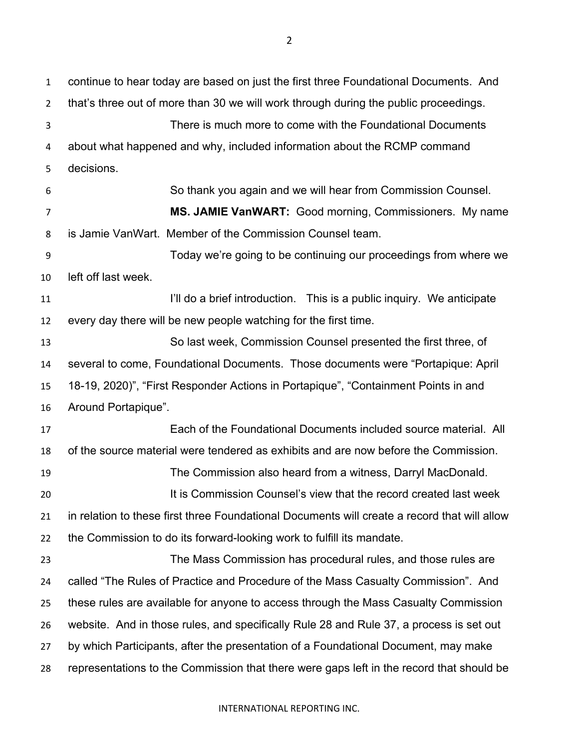continue to hear today are based on just the first three Foundational Documents. And that's three out of more than 30 we will work through during the public proceedings. There is much more to come with the Foundational Documents about what happened and why, included information about the RCMP command decisions. So thank you again and we will hear from Commission Counsel. **MS. JAMIE VanWART:** Good morning, Commissioners. My name is Jamie VanWart. Member of the Commission Counsel team. Today we're going to be continuing our proceedings from where we left off last week. **I'll do a brief introduction.** This is a public inquiry. We anticipate every day there will be new people watching for the first time. So last week, Commission Counsel presented the first three, of several to come, Foundational Documents. Those documents were "Portapique: April 18-19, 2020)", "First Responder Actions in Portapique", "Containment Points in and Around Portapique". Each of the Foundational Documents included source material. All of the source material were tendered as exhibits and are now before the Commission. The Commission also heard from a witness, Darryl MacDonald. It is Commission Counsel's view that the record created last week in relation to these first three Foundational Documents will create a record that will allow the Commission to do its forward-looking work to fulfill its mandate. The Mass Commission has procedural rules, and those rules are called "The Rules of Practice and Procedure of the Mass Casualty Commission". And these rules are available for anyone to access through the Mass Casualty Commission website. And in those rules, and specifically Rule 28 and Rule 37, a process is set out by which Participants, after the presentation of a Foundational Document, may make representations to the Commission that there were gaps left in the record that should be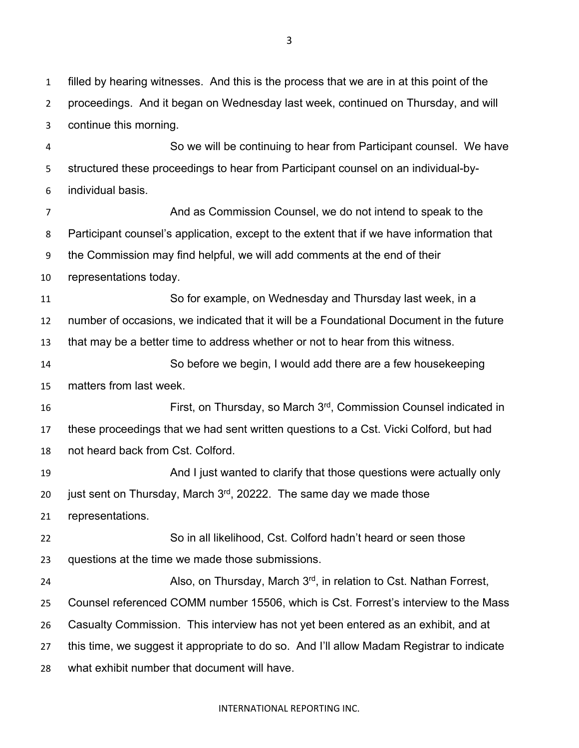filled by hearing witnesses. And this is the process that we are in at this point of the proceedings. And it began on Wednesday last week, continued on Thursday, and will continue this morning.

 So we will be continuing to hear from Participant counsel. We have structured these proceedings to hear from Participant counsel on an individual-by-individual basis.

 And as Commission Counsel, we do not intend to speak to the Participant counsel's application, except to the extent that if we have information that the Commission may find helpful, we will add comments at the end of their representations today. So for example, on Wednesday and Thursday last week, in a number of occasions, we indicated that it will be a Foundational Document in the future that may be a better time to address whether or not to hear from this witness. So before we begin, I would add there are a few housekeeping matters from last week. **First, on Thursday, so March 3<sup>rd</sup>, Commission Counsel indicated in**  these proceedings that we had sent written questions to a Cst. Vicki Colford, but had not heard back from Cst. Colford.

 And I just wanted to clarify that those questions were actually only 20 just sent on Thursday, March  $3<sup>rd</sup>$ , 20222. The same day we made those

representations.

 So in all likelihood, Cst. Colford hadn't heard or seen those questions at the time we made those submissions.

24 MISO, on Thursday, March  $3^{rd}$ , in relation to Cst. Nathan Forrest, Counsel referenced COMM number 15506, which is Cst. Forrest's interview to the Mass Casualty Commission. This interview has not yet been entered as an exhibit, and at this time, we suggest it appropriate to do so. And I'll allow Madam Registrar to indicate what exhibit number that document will have.

INTERNATIONAL REPORTING INC.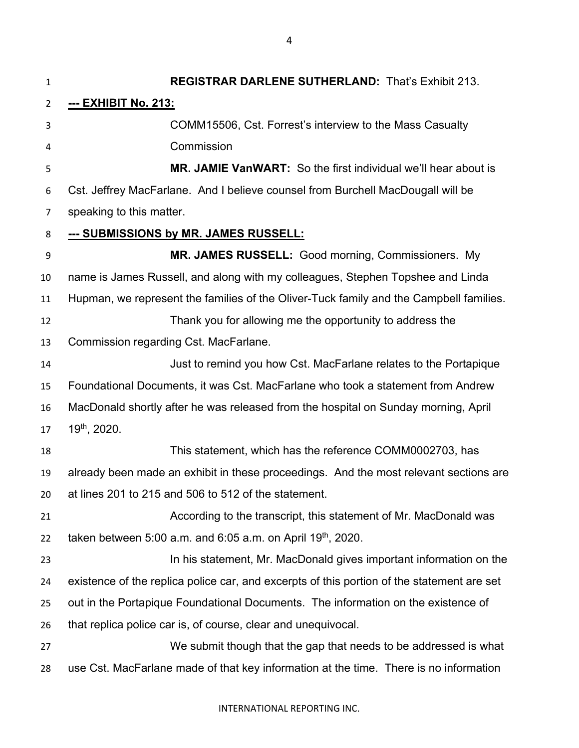**REGISTRAR DARLENE SUTHERLAND:** That's Exhibit 213. **--- EXHIBIT No. 213:** COMM15506, Cst. Forrest's interview to the Mass Casualty Commission **MR. JAMIE VanWART:** So the first individual we'll hear about is Cst. Jeffrey MacFarlane. And I believe counsel from Burchell MacDougall will be speaking to this matter. **--- SUBMISSIONS by MR. JAMES RUSSELL: MR. JAMES RUSSELL:** Good morning, Commissioners. My name is James Russell, and along with my colleagues, Stephen Topshee and Linda Hupman, we represent the families of the Oliver-Tuck family and the Campbell families. Thank you for allowing me the opportunity to address the Commission regarding Cst. MacFarlane. Just to remind you how Cst. MacFarlane relates to the Portapique Foundational Documents, it was Cst. MacFarlane who took a statement from Andrew MacDonald shortly after he was released from the hospital on Sunday morning, April 19<sup>th</sup>, 2020. This statement, which has the reference COMM0002703, has already been made an exhibit in these proceedings. And the most relevant sections are at lines 201 to 215 and 506 to 512 of the statement. According to the transcript, this statement of Mr. MacDonald was 22 taken between 5:00 a.m. and 6:05 a.m. on April 19<sup>th</sup>, 2020. **In his statement, Mr. MacDonald gives important information on the**  existence of the replica police car, and excerpts of this portion of the statement are set out in the Portapique Foundational Documents. The information on the existence of that replica police car is, of course, clear and unequivocal. We submit though that the gap that needs to be addressed is what use Cst. MacFarlane made of that key information at the time. There is no information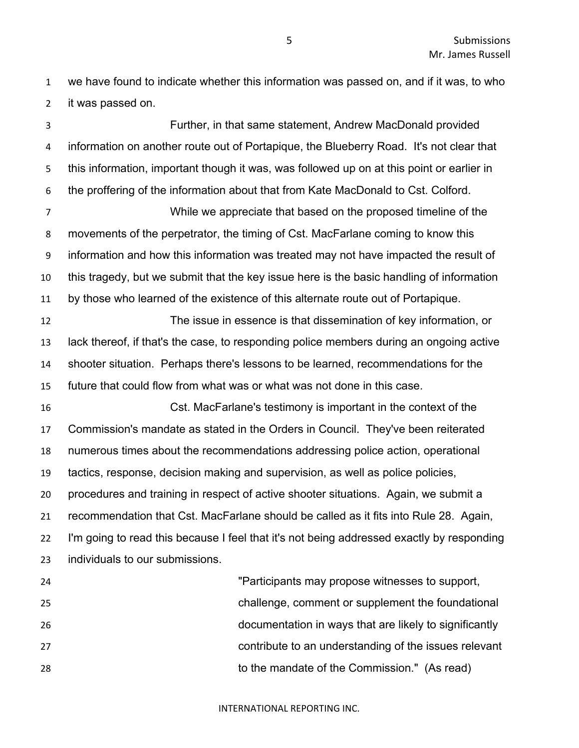we have found to indicate whether this information was passed on, and if it was, to who it was passed on.

 Further, in that same statement, Andrew MacDonald provided information on another route out of Portapique, the Blueberry Road. It's not clear that this information, important though it was, was followed up on at this point or earlier in the proffering of the information about that from Kate MacDonald to Cst. Colford. While we appreciate that based on the proposed timeline of the movements of the perpetrator, the timing of Cst. MacFarlane coming to know this information and how this information was treated may not have impacted the result of this tragedy, but we submit that the key issue here is the basic handling of information

by those who learned of the existence of this alternate route out of Portapique.

 The issue in essence is that dissemination of key information, or lack thereof, if that's the case, to responding police members during an ongoing active shooter situation. Perhaps there's lessons to be learned, recommendations for the future that could flow from what was or what was not done in this case.

 Cst. MacFarlane's testimony is important in the context of the Commission's mandate as stated in the Orders in Council. They've been reiterated numerous times about the recommendations addressing police action, operational tactics, response, decision making and supervision, as well as police policies, procedures and training in respect of active shooter situations. Again, we submit a recommendation that Cst. MacFarlane should be called as it fits into Rule 28. Again, I'm going to read this because I feel that it's not being addressed exactly by responding individuals to our submissions.

| 24 | "Participants may propose witnesses to support,        |
|----|--------------------------------------------------------|
| 25 | challenge, comment or supplement the foundational      |
| 26 | documentation in ways that are likely to significantly |
| 27 | contribute to an understanding of the issues relevant  |
| 28 | to the mandate of the Commission." (As read)           |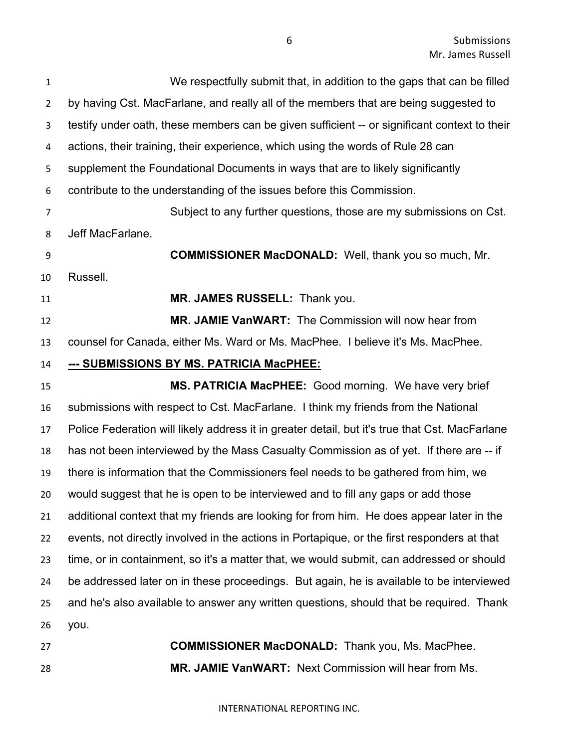| $\mathbf{1}$   | We respectfully submit that, in addition to the gaps that can be filled                        |
|----------------|------------------------------------------------------------------------------------------------|
| $\overline{2}$ | by having Cst. MacFarlane, and really all of the members that are being suggested to           |
| 3              | testify under oath, these members can be given sufficient -- or significant context to their   |
| 4              | actions, their training, their experience, which using the words of Rule 28 can                |
| 5              | supplement the Foundational Documents in ways that are to likely significantly                 |
| 6              | contribute to the understanding of the issues before this Commission.                          |
| 7              | Subject to any further questions, those are my submissions on Cst.                             |
| 8              | Jeff MacFarlane.                                                                               |
| 9              | <b>COMMISSIONER MacDONALD:</b> Well, thank you so much, Mr.                                    |
| 10             | Russell.                                                                                       |
| 11             | MR. JAMES RUSSELL: Thank you.                                                                  |
| 12             | MR. JAMIE VanWART: The Commission will now hear from                                           |
| 13             | counsel for Canada, either Ms. Ward or Ms. MacPhee. I believe it's Ms. MacPhee.                |
| 14             | --- SUBMISSIONS BY MS. PATRICIA MacPHEE:                                                       |
| 15             | MS. PATRICIA MacPHEE: Good morning. We have very brief                                         |
| 16             | submissions with respect to Cst. MacFarlane. I think my friends from the National              |
| 17             | Police Federation will likely address it in greater detail, but it's true that Cst. MacFarlane |
| 18             | has not been interviewed by the Mass Casualty Commission as of yet. If there are -- if         |
| 19             | there is information that the Commissioners feel needs to be gathered from him, we             |
| 20             | would suggest that he is open to be interviewed and to fill any gaps or add those              |
| 21             | additional context that my friends are looking for from him. He does appear later in the       |
| 22             | events, not directly involved in the actions in Portapique, or the first responders at that    |
| 23             | time, or in containment, so it's a matter that, we would submit, can addressed or should       |
| 24             | be addressed later on in these proceedings. But again, he is available to be interviewed       |
| 25             | and he's also available to answer any written questions, should that be required. Thank        |
| 26             | you.                                                                                           |
| 27             | <b>COMMISSIONER MacDONALD:</b> Thank you, Ms. MacPhee.                                         |

**MR. JAMIE VanWART:** Next Commission will hear from Ms.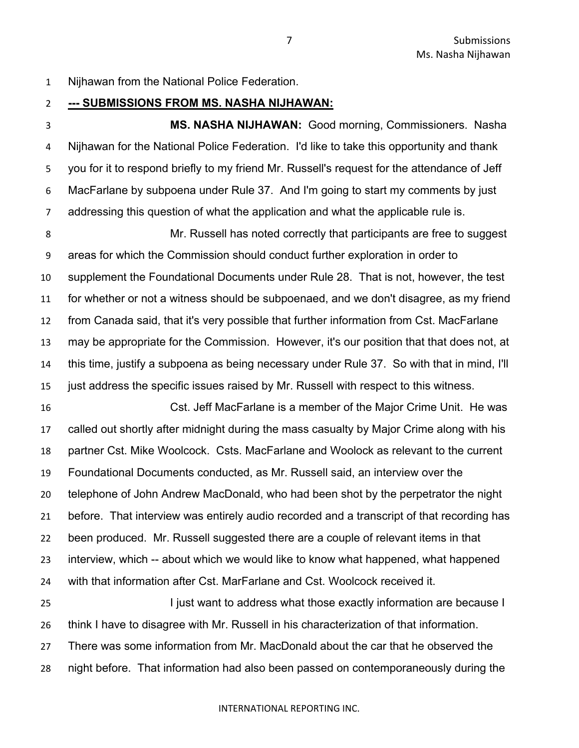Nijhawan from the National Police Federation.

#### **--- SUBMISSIONS FROM MS. NASHA NIJHAWAN:**

 **MS. NASHA NIJHAWAN:** Good morning, Commissioners. Nasha Nijhawan for the National Police Federation. I'd like to take this opportunity and thank you for it to respond briefly to my friend Mr. Russell's request for the attendance of Jeff MacFarlane by subpoena under Rule 37. And I'm going to start my comments by just addressing this question of what the application and what the applicable rule is.

 Mr. Russell has noted correctly that participants are free to suggest areas for which the Commission should conduct further exploration in order to supplement the Foundational Documents under Rule 28. That is not, however, the test for whether or not a witness should be subpoenaed, and we don't disagree, as my friend from Canada said, that it's very possible that further information from Cst. MacFarlane may be appropriate for the Commission. However, it's our position that that does not, at this time, justify a subpoena as being necessary under Rule 37. So with that in mind, I'll just address the specific issues raised by Mr. Russell with respect to this witness.

 Cst. Jeff MacFarlane is a member of the Major Crime Unit. He was called out shortly after midnight during the mass casualty by Major Crime along with his partner Cst. Mike Woolcock. Csts. MacFarlane and Woolock as relevant to the current Foundational Documents conducted, as Mr. Russell said, an interview over the telephone of John Andrew MacDonald, who had been shot by the perpetrator the night before. That interview was entirely audio recorded and a transcript of that recording has been produced. Mr. Russell suggested there are a couple of relevant items in that interview, which -- about which we would like to know what happened, what happened with that information after Cst. MarFarlane and Cst. Woolcock received it.

 I just want to address what those exactly information are because I think I have to disagree with Mr. Russell in his characterization of that information. There was some information from Mr. MacDonald about the car that he observed the night before. That information had also been passed on contemporaneously during the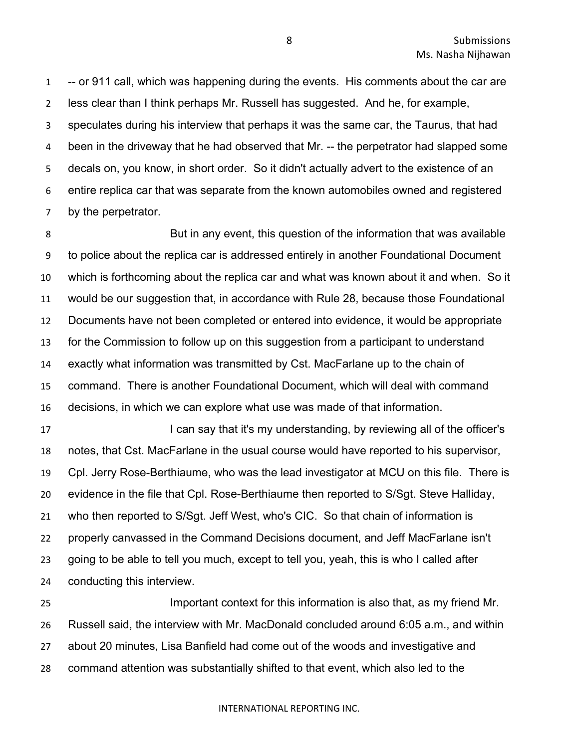-- or 911 call, which was happening during the events. His comments about the car are less clear than I think perhaps Mr. Russell has suggested. And he, for example, speculates during his interview that perhaps it was the same car, the Taurus, that had 4 been in the driveway that he had observed that Mr. -- the perpetrator had slapped some decals on, you know, in short order. So it didn't actually advert to the existence of an entire replica car that was separate from the known automobiles owned and registered by the perpetrator.

 But in any event, this question of the information that was available to police about the replica car is addressed entirely in another Foundational Document which is forthcoming about the replica car and what was known about it and when. So it would be our suggestion that, in accordance with Rule 28, because those Foundational Documents have not been completed or entered into evidence, it would be appropriate for the Commission to follow up on this suggestion from a participant to understand exactly what information was transmitted by Cst. MacFarlane up to the chain of command. There is another Foundational Document, which will deal with command decisions, in which we can explore what use was made of that information.

17 I can say that it's my understanding, by reviewing all of the officer's notes, that Cst. MacFarlane in the usual course would have reported to his supervisor, Cpl. Jerry Rose-Berthiaume, who was the lead investigator at MCU on this file. There is evidence in the file that Cpl. Rose-Berthiaume then reported to S/Sgt. Steve Halliday, who then reported to S/Sgt. Jeff West, who's CIC. So that chain of information is properly canvassed in the Command Decisions document, and Jeff MacFarlane isn't going to be able to tell you much, except to tell you, yeah, this is who I called after conducting this interview.

 Important context for this information is also that, as my friend Mr. Russell said, the interview with Mr. MacDonald concluded around 6:05 a.m., and within about 20 minutes, Lisa Banfield had come out of the woods and investigative and command attention was substantially shifted to that event, which also led to the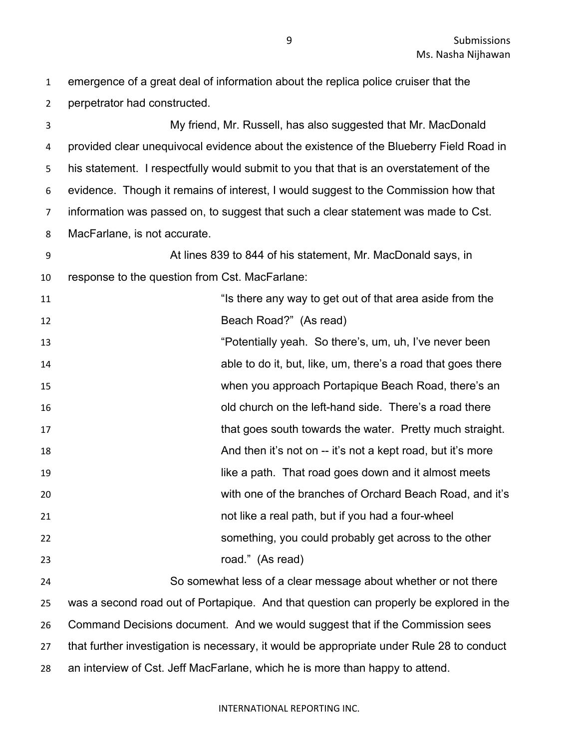perpetrator had constructed. My friend, Mr. Russell, has also suggested that Mr. MacDonald provided clear unequivocal evidence about the existence of the Blueberry Field Road in his statement. I respectfully would submit to you that that is an overstatement of the evidence. Though it remains of interest, I would suggest to the Commission how that information was passed on, to suggest that such a clear statement was made to Cst. MacFarlane, is not accurate. At lines 839 to 844 of his statement, Mr. MacDonald says, in response to the question from Cst. MacFarlane: 11 11 **Is there any way to get out of that area aside from the**  Beach Road?" (As read) **13** "Potentially yeah. So there's, um, uh, I've never been able to do it, but, like, um, there's a road that goes there when you approach Portapique Beach Road, there's an old church on the left-hand side. There's a road there 17 that goes south towards the water. Pretty much straight. And then it's not on -- it's not a kept road, but it's more like a path. That road goes down and it almost meets with one of the branches of Orchard Beach Road, and it's not like a real path, but if you had a four-wheel something, you could probably get across to the other road." (As read) So somewhat less of a clear message about whether or not there was a second road out of Portapique. And that question can properly be explored in the Command Decisions document. And we would suggest that if the Commission sees that further investigation is necessary, it would be appropriate under Rule 28 to conduct

an interview of Cst. Jeff MacFarlane, which he is more than happy to attend.

emergence of a great deal of information about the replica police cruiser that the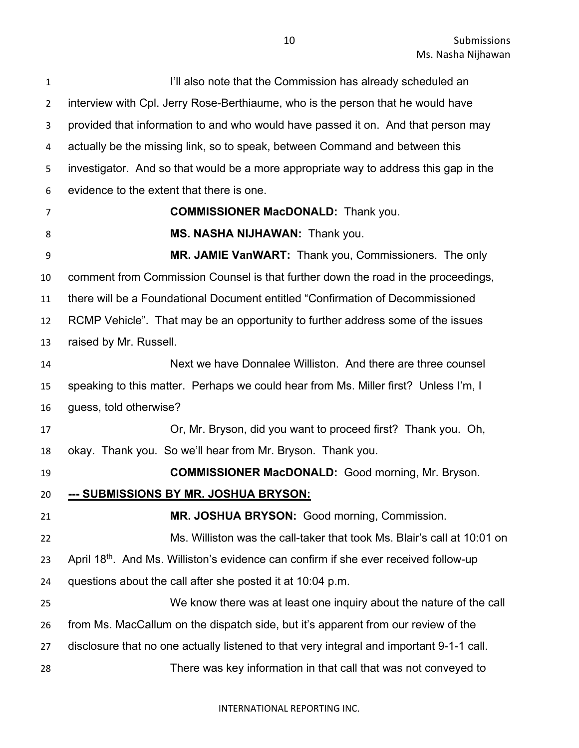I'll also note that the Commission has already scheduled an interview with Cpl. Jerry Rose-Berthiaume, who is the person that he would have provided that information to and who would have passed it on. And that person may actually be the missing link, so to speak, between Command and between this investigator. And so that would be a more appropriate way to address this gap in the evidence to the extent that there is one. **COMMISSIONER MacDONALD:** Thank you. **MS. NASHA NIJHAWAN:** Thank you. **MR. JAMIE VanWART:** Thank you, Commissioners. The only comment from Commission Counsel is that further down the road in the proceedings, there will be a Foundational Document entitled "Confirmation of Decommissioned RCMP Vehicle". That may be an opportunity to further address some of the issues raised by Mr. Russell. Next we have Donnalee Williston. And there are three counsel speaking to this matter. Perhaps we could hear from Ms. Miller first? Unless I'm, I guess, told otherwise? Or, Mr. Bryson, did you want to proceed first? Thank you. Oh, okay. Thank you. So we'll hear from Mr. Bryson. Thank you. **COMMISSIONER MacDONALD:** Good morning, Mr. Bryson. **--- SUBMISSIONS BY MR. JOSHUA BRYSON: MR. JOSHUA BRYSON:** Good morning, Commission. Ms. Williston was the call-taker that took Ms. Blair's call at 10:01 on 23 April 18<sup>th</sup>. And Ms. Williston's evidence can confirm if she ever received follow-up questions about the call after she posted it at 10:04 p.m. We know there was at least one inquiry about the nature of the call from Ms. MacCallum on the dispatch side, but it's apparent from our review of the disclosure that no one actually listened to that very integral and important 9-1-1 call. There was key information in that call that was not conveyed to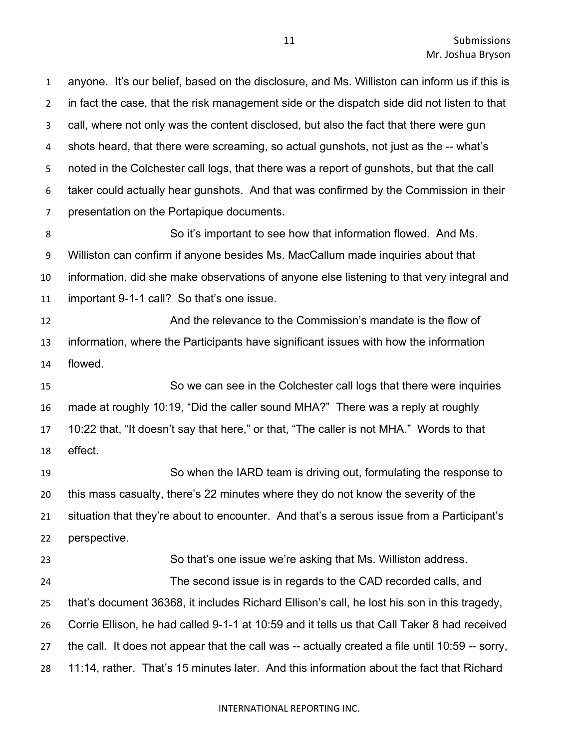anyone. It's our belief, based on the disclosure, and Ms. Williston can inform us if this is in fact the case, that the risk management side or the dispatch side did not listen to that call, where not only was the content disclosed, but also the fact that there were gun shots heard, that there were screaming, so actual gunshots, not just as the -- what's noted in the Colchester call logs, that there was a report of gunshots, but that the call taker could actually hear gunshots. And that was confirmed by the Commission in their presentation on the Portapique documents.

 So it's important to see how that information flowed. And Ms. Williston can confirm if anyone besides Ms. MacCallum made inquiries about that information, did she make observations of anyone else listening to that very integral and important 9-1-1 call? So that's one issue.

 And the relevance to the Commission's mandate is the flow of information, where the Participants have significant issues with how the information flowed.

 So we can see in the Colchester call logs that there were inquiries made at roughly 10:19, "Did the caller sound MHA?" There was a reply at roughly 10:22 that, "It doesn't say that here," or that, "The caller is not MHA." Words to that effect.

 So when the IARD team is driving out, formulating the response to this mass casualty, there's 22 minutes where they do not know the severity of the situation that they're about to encounter. And that's a serous issue from a Participant's perspective.

 So that's one issue we're asking that Ms. Williston address. The second issue is in regards to the CAD recorded calls, and that's document 36368, it includes Richard Ellison's call, he lost his son in this tragedy, Corrie Ellison, he had called 9-1-1 at 10:59 and it tells us that Call Taker 8 had received the call. It does not appear that the call was -- actually created a file until 10:59 -- sorry, 11:14, rather. That's 15 minutes later. And this information about the fact that Richard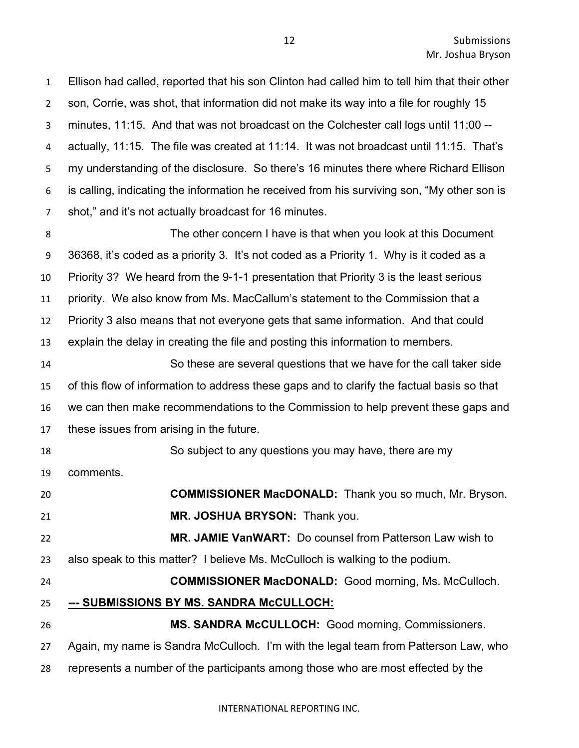Ellison had called, reported that his son Clinton had called him to tell him that their other son, Corrie, was shot, that information did not make its way into a file for roughly 15 minutes, 11:15. And that was not broadcast on the Colchester call logs until 11:00 -- actually, 11:15. The file was created at 11:14. It was not broadcast until 11:15. That's my understanding of the disclosure. So there's 16 minutes there where Richard Ellison is calling, indicating the information he received from his surviving son, "My other son is shot," and it's not actually broadcast for 16 minutes. The other concern I have is that when you look at this Document 36368, it's coded as a priority 3. It's not coded as a Priority 1. Why is it coded as a Priority 3? We heard from the 9-1-1 presentation that Priority 3 is the least serious priority. We also know from Ms. MacCallum's statement to the Commission that a Priority 3 also means that not everyone gets that same information. And that could explain the delay in creating the file and posting this information to members. So these are several questions that we have for the call taker side of this flow of information to address these gaps and to clarify the factual basis so that we can then make recommendations to the Commission to help prevent these gaps and these issues from arising in the future. So subject to any questions you may have, there are my comments. **COMMISSIONER MacDONALD:** Thank you so much, Mr. Bryson. **MR. JOSHUA BRYSON:** Thank you. **MR. JAMIE VanWART:** Do counsel from Patterson Law wish to also speak to this matter? I believe Ms. McCulloch is walking to the podium. **COMMISSIONER MacDONALD:** Good morning, Ms. McCulloch. **--- SUBMISSIONS BY MS. SANDRA McCULLOCH: MS. SANDRA McCULLOCH:** Good morning, Commissioners. Again, my name is Sandra McCulloch. I'm with the legal team from Patterson Law, who represents a number of the participants among those who are most effected by the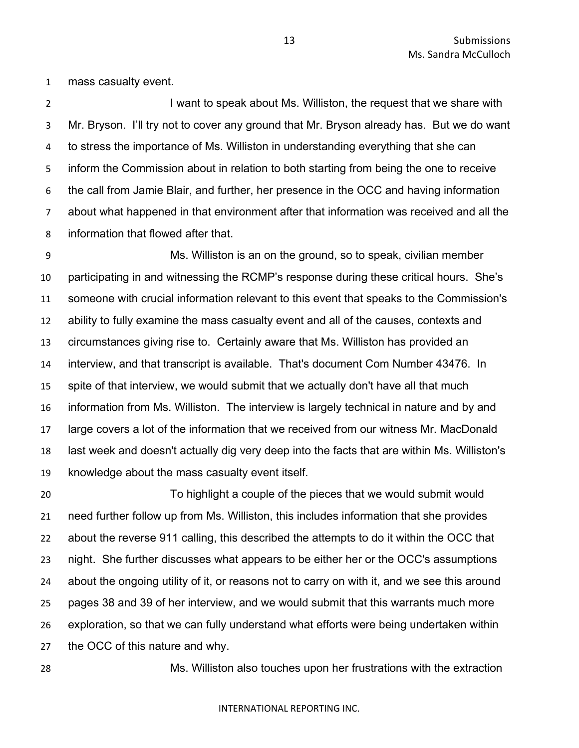mass casualty event.

2 I want to speak about Ms. Williston, the request that we share with Mr. Bryson. I'll try not to cover any ground that Mr. Bryson already has. But we do want to stress the importance of Ms. Williston in understanding everything that she can inform the Commission about in relation to both starting from being the one to receive the call from Jamie Blair, and further, her presence in the OCC and having information about what happened in that environment after that information was received and all the information that flowed after that.

 Ms. Williston is an on the ground, so to speak, civilian member participating in and witnessing the RCMP's response during these critical hours. She's someone with crucial information relevant to this event that speaks to the Commission's ability to fully examine the mass casualty event and all of the causes, contexts and circumstances giving rise to. Certainly aware that Ms. Williston has provided an interview, and that transcript is available. That's document Com Number 43476. In spite of that interview, we would submit that we actually don't have all that much information from Ms. Williston. The interview is largely technical in nature and by and large covers a lot of the information that we received from our witness Mr. MacDonald last week and doesn't actually dig very deep into the facts that are within Ms. Williston's knowledge about the mass casualty event itself.

 To highlight a couple of the pieces that we would submit would need further follow up from Ms. Williston, this includes information that she provides about the reverse 911 calling, this described the attempts to do it within the OCC that night. She further discusses what appears to be either her or the OCC's assumptions about the ongoing utility of it, or reasons not to carry on with it, and we see this around pages 38 and 39 of her interview, and we would submit that this warrants much more exploration, so that we can fully understand what efforts were being undertaken within the OCC of this nature and why.

Ms. Williston also touches upon her frustrations with the extraction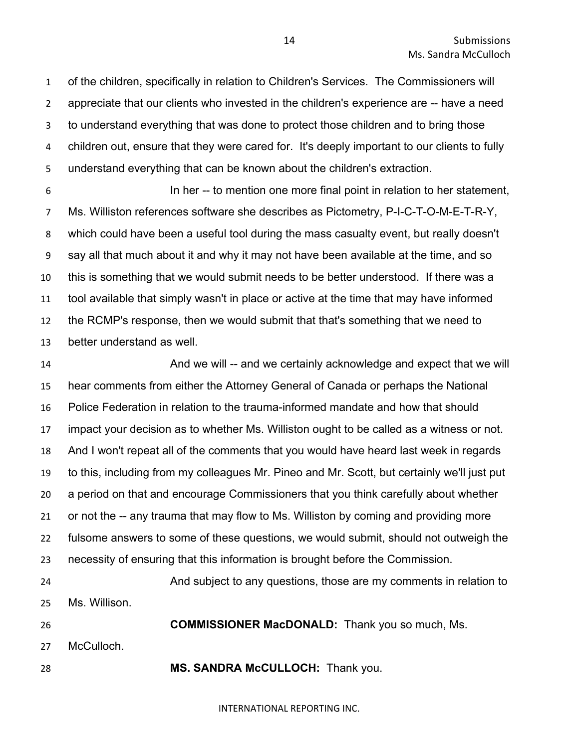of the children, specifically in relation to Children's Services. The Commissioners will appreciate that our clients who invested in the children's experience are -- have a need to understand everything that was done to protect those children and to bring those children out, ensure that they were cared for. It's deeply important to our clients to fully understand everything that can be known about the children's extraction.

 In her -- to mention one more final point in relation to her statement, Ms. Williston references software she describes as Pictometry, P-I-C-T-O-M-E-T-R-Y, which could have been a useful tool during the mass casualty event, but really doesn't say all that much about it and why it may not have been available at the time, and so this is something that we would submit needs to be better understood. If there was a tool available that simply wasn't in place or active at the time that may have informed the RCMP's response, then we would submit that that's something that we need to better understand as well.

 And we will -- and we certainly acknowledge and expect that we will hear comments from either the Attorney General of Canada or perhaps the National Police Federation in relation to the trauma-informed mandate and how that should impact your decision as to whether Ms. Williston ought to be called as a witness or not. And I won't repeat all of the comments that you would have heard last week in regards to this, including from my colleagues Mr. Pineo and Mr. Scott, but certainly we'll just put a period on that and encourage Commissioners that you think carefully about whether or not the -- any trauma that may flow to Ms. Williston by coming and providing more fulsome answers to some of these questions, we would submit, should not outweigh the necessity of ensuring that this information is brought before the Commission.

```
24 And subject to any questions, those are my comments in relation to 
25 Ms. Willison.
26 COMMISSIONER MacDONALD: Thank you so much, Ms. 
27 McCulloch.
```
**MS. SANDRA McCULLOCH:** Thank you.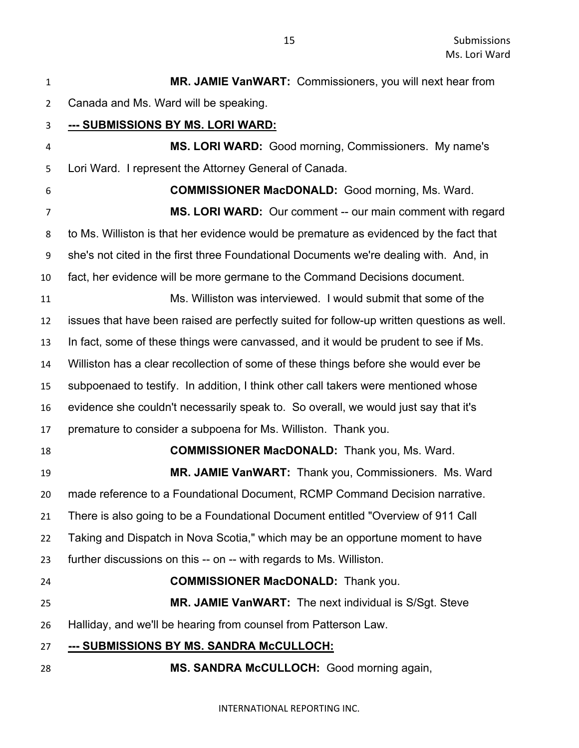| $\mathbf{1}$   | MR. JAMIE VanWART: Commissioners, you will next hear from                                  |
|----------------|--------------------------------------------------------------------------------------------|
| $\overline{2}$ | Canada and Ms. Ward will be speaking.                                                      |
| 3              | <u>--- SUBMISSIONS BY MS. LORI WARD:</u>                                                   |
| 4              | MS. LORI WARD: Good morning, Commissioners. My name's                                      |
| 5              | Lori Ward. I represent the Attorney General of Canada.                                     |
| 6              | <b>COMMISSIONER MacDONALD:</b> Good morning, Ms. Ward.                                     |
| 7              | MS. LORI WARD: Our comment -- our main comment with regard                                 |
| 8              | to Ms. Williston is that her evidence would be premature as evidenced by the fact that     |
| 9              | she's not cited in the first three Foundational Documents we're dealing with. And, in      |
| 10             | fact, her evidence will be more germane to the Command Decisions document.                 |
| 11             | Ms. Williston was interviewed. I would submit that some of the                             |
| 12             | issues that have been raised are perfectly suited for follow-up written questions as well. |
| 13             | In fact, some of these things were canvassed, and it would be prudent to see if Ms.        |
| 14             | Williston has a clear recollection of some of these things before she would ever be        |
| 15             | subpoenaed to testify. In addition, I think other call takers were mentioned whose         |
| 16             | evidence she couldn't necessarily speak to. So overall, we would just say that it's        |
| 17             | premature to consider a subpoena for Ms. Williston. Thank you.                             |
| 18             | <b>COMMISSIONER MacDONALD:</b> Thank you, Ms. Ward.                                        |
| 19             | MR. JAMIE VanWART: Thank you, Commissioners. Ms. Ward                                      |
| 20             | made reference to a Foundational Document, RCMP Command Decision narrative.                |
| 21             | There is also going to be a Foundational Document entitled "Overview of 911 Call           |
| 22             | Taking and Dispatch in Nova Scotia," which may be an opportune moment to have              |
| 23             | further discussions on this -- on -- with regards to Ms. Williston.                        |
| 24             | <b>COMMISSIONER MacDONALD:</b> Thank you.                                                  |
| 25             | MR. JAMIE VanWART: The next individual is S/Sgt. Steve                                     |
| 26             | Halliday, and we'll be hearing from counsel from Patterson Law.                            |
| 27             | <u>--- SUBMISSIONS BY MS. SANDRA McCULLOCH:</u>                                            |
| 28             | MS. SANDRA McCULLOCH: Good morning again,                                                  |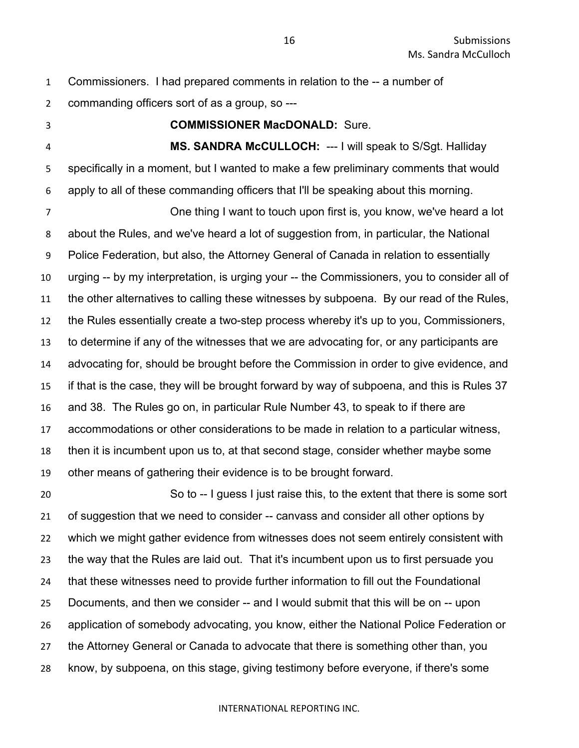- Commissioners. I had prepared comments in relation to the -- a number of commanding officers sort of as a group, so ---
- 

#### **COMMISSIONER MacDONALD:** Sure.

 **MS. SANDRA McCULLOCH:** --- I will speak to S/Sgt. Halliday specifically in a moment, but I wanted to make a few preliminary comments that would apply to all of these commanding officers that I'll be speaking about this morning.

 One thing I want to touch upon first is, you know, we've heard a lot about the Rules, and we've heard a lot of suggestion from, in particular, the National Police Federation, but also, the Attorney General of Canada in relation to essentially urging -- by my interpretation, is urging your -- the Commissioners, you to consider all of the other alternatives to calling these witnesses by subpoena. By our read of the Rules, the Rules essentially create a two-step process whereby it's up to you, Commissioners, to determine if any of the witnesses that we are advocating for, or any participants are advocating for, should be brought before the Commission in order to give evidence, and if that is the case, they will be brought forward by way of subpoena, and this is Rules 37 and 38. The Rules go on, in particular Rule Number 43, to speak to if there are accommodations or other considerations to be made in relation to a particular witness, then it is incumbent upon us to, at that second stage, consider whether maybe some other means of gathering their evidence is to be brought forward.

 So to -- I guess I just raise this, to the extent that there is some sort of suggestion that we need to consider -- canvass and consider all other options by which we might gather evidence from witnesses does not seem entirely consistent with the way that the Rules are laid out. That it's incumbent upon us to first persuade you that these witnesses need to provide further information to fill out the Foundational Documents, and then we consider -- and I would submit that this will be on -- upon application of somebody advocating, you know, either the National Police Federation or the Attorney General or Canada to advocate that there is something other than, you know, by subpoena, on this stage, giving testimony before everyone, if there's some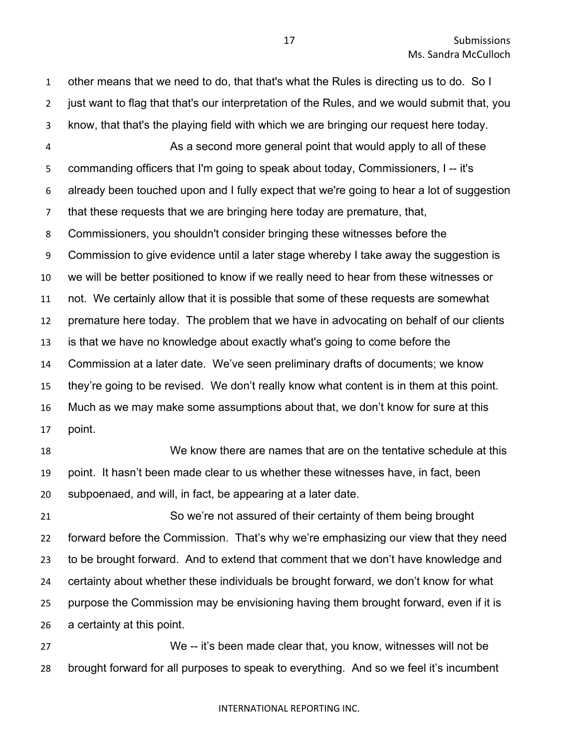other means that we need to do, that that's what the Rules is directing us to do. So I just want to flag that that's our interpretation of the Rules, and we would submit that, you know, that that's the playing field with which we are bringing our request here today. As a second more general point that would apply to all of these commanding officers that I'm going to speak about today, Commissioners, I -- it's already been touched upon and I fully expect that we're going to hear a lot of suggestion that these requests that we are bringing here today are premature, that, Commissioners, you shouldn't consider bringing these witnesses before the Commission to give evidence until a later stage whereby I take away the suggestion is we will be better positioned to know if we really need to hear from these witnesses or not. We certainly allow that it is possible that some of these requests are somewhat premature here today. The problem that we have in advocating on behalf of our clients is that we have no knowledge about exactly what's going to come before the Commission at a later date. We've seen preliminary drafts of documents; we know they're going to be revised. We don't really know what content is in them at this point. Much as we may make some assumptions about that, we don't know for sure at this point. We know there are names that are on the tentative schedule at this point. It hasn't been made clear to us whether these witnesses have, in fact, been subpoenaed, and will, in fact, be appearing at a later date. So we're not assured of their certainty of them being brought forward before the Commission. That's why we're emphasizing our view that they need to be brought forward. And to extend that comment that we don't have knowledge and certainty about whether these individuals be brought forward, we don't know for what

 purpose the Commission may be envisioning having them brought forward, even if it is a certainty at this point.

 We -- it's been made clear that, you know, witnesses will not be brought forward for all purposes to speak to everything. And so we feel it's incumbent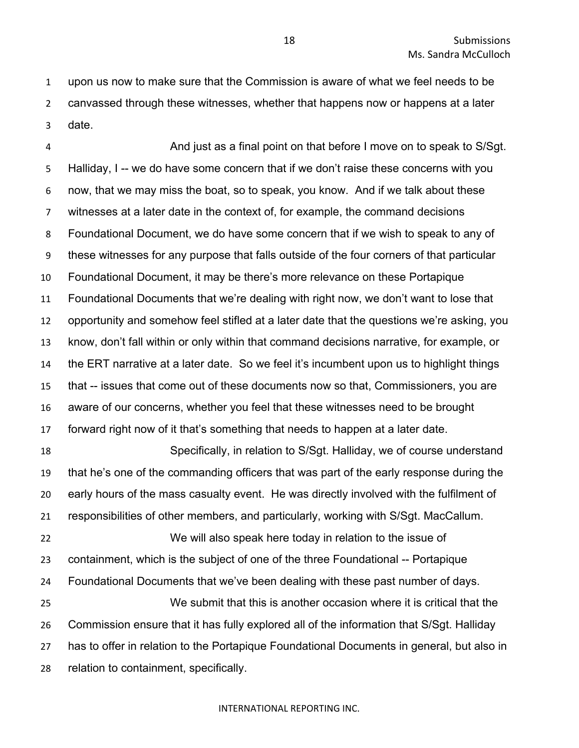upon us now to make sure that the Commission is aware of what we feel needs to be canvassed through these witnesses, whether that happens now or happens at a later date.

 And just as a final point on that before I move on to speak to S/Sgt. Halliday, I -- we do have some concern that if we don't raise these concerns with you now, that we may miss the boat, so to speak, you know. And if we talk about these witnesses at a later date in the context of, for example, the command decisions Foundational Document, we do have some concern that if we wish to speak to any of these witnesses for any purpose that falls outside of the four corners of that particular Foundational Document, it may be there's more relevance on these Portapique Foundational Documents that we're dealing with right now, we don't want to lose that opportunity and somehow feel stifled at a later date that the questions we're asking, you know, don't fall within or only within that command decisions narrative, for example, or the ERT narrative at a later date. So we feel it's incumbent upon us to highlight things that -- issues that come out of these documents now so that, Commissioners, you are aware of our concerns, whether you feel that these witnesses need to be brought forward right now of it that's something that needs to happen at a later date. Specifically, in relation to S/Sgt. Halliday, we of course understand that he's one of the commanding officers that was part of the early response during the early hours of the mass casualty event. He was directly involved with the fulfilment of responsibilities of other members, and particularly, working with S/Sgt. MacCallum. We will also speak here today in relation to the issue of containment, which is the subject of one of the three Foundational -- Portapique Foundational Documents that we've been dealing with these past number of days. We submit that this is another occasion where it is critical that the Commission ensure that it has fully explored all of the information that S/Sgt. Halliday has to offer in relation to the Portapique Foundational Documents in general, but also in relation to containment, specifically.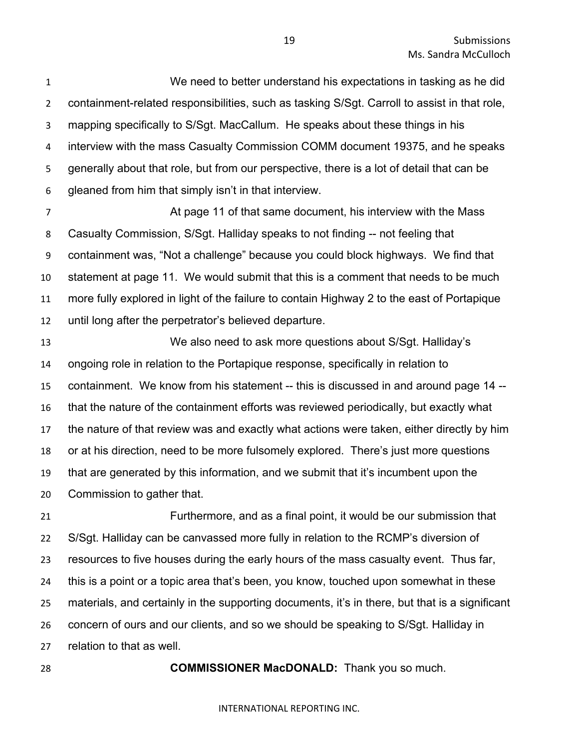We need to better understand his expectations in tasking as he did containment-related responsibilities, such as tasking S/Sgt. Carroll to assist in that role, mapping specifically to S/Sgt. MacCallum. He speaks about these things in his interview with the mass Casualty Commission COMM document 19375, and he speaks generally about that role, but from our perspective, there is a lot of detail that can be gleaned from him that simply isn't in that interview.

 At page 11 of that same document, his interview with the Mass Casualty Commission, S/Sgt. Halliday speaks to not finding -- not feeling that containment was, "Not a challenge" because you could block highways. We find that statement at page 11. We would submit that this is a comment that needs to be much more fully explored in light of the failure to contain Highway 2 to the east of Portapique until long after the perpetrator's believed departure.

 We also need to ask more questions about S/Sgt. Halliday's ongoing role in relation to the Portapique response, specifically in relation to containment. We know from his statement -- this is discussed in and around page 14 -- that the nature of the containment efforts was reviewed periodically, but exactly what the nature of that review was and exactly what actions were taken, either directly by him or at his direction, need to be more fulsomely explored. There's just more questions that are generated by this information, and we submit that it's incumbent upon the Commission to gather that.

 Furthermore, and as a final point, it would be our submission that S/Sgt. Halliday can be canvassed more fully in relation to the RCMP's diversion of resources to five houses during the early hours of the mass casualty event. Thus far, this is a point or a topic area that's been, you know, touched upon somewhat in these materials, and certainly in the supporting documents, it's in there, but that is a significant concern of ours and our clients, and so we should be speaking to S/Sgt. Halliday in relation to that as well.

**COMMISSIONER MacDONALD:** Thank you so much.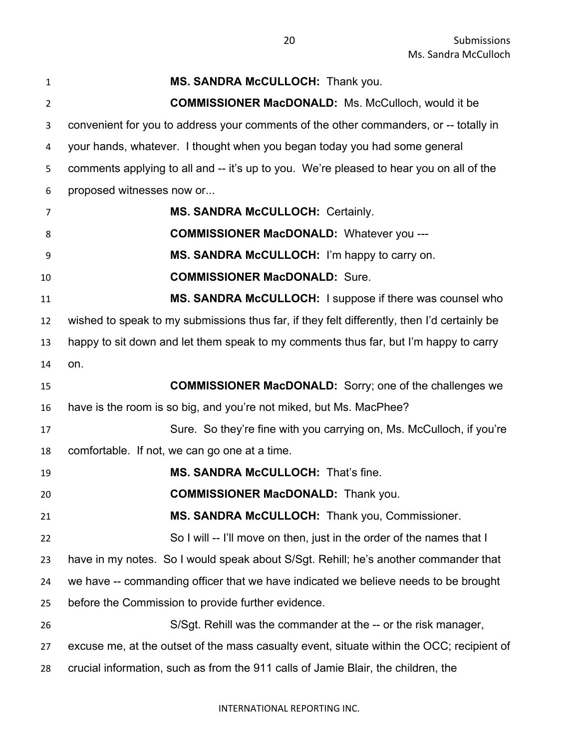| $\mathbf{1}$   | MS. SANDRA McCULLOCH: Thank you.                                                            |
|----------------|---------------------------------------------------------------------------------------------|
| $\overline{2}$ | <b>COMMISSIONER MacDONALD:</b> Ms. McCulloch, would it be                                   |
| 3              | convenient for you to address your comments of the other commanders, or -- totally in       |
| 4              | your hands, whatever. I thought when you began today you had some general                   |
| 5              | comments applying to all and -- it's up to you. We're pleased to hear you on all of the     |
| 6              | proposed witnesses now or                                                                   |
| 7              | <b>MS. SANDRA McCULLOCH: Certainly.</b>                                                     |
| 8              | <b>COMMISSIONER MacDONALD:</b> Whatever you ---                                             |
| 9              | MS. SANDRA McCULLOCH: I'm happy to carry on.                                                |
| 10             | <b>COMMISSIONER MacDONALD: Sure.</b>                                                        |
| 11             | MS. SANDRA McCULLOCH: I suppose if there was counsel who                                    |
| 12             | wished to speak to my submissions thus far, if they felt differently, then I'd certainly be |
| 13             | happy to sit down and let them speak to my comments thus far, but I'm happy to carry        |
| 14             | on.                                                                                         |
| 15             | <b>COMMISSIONER MacDONALD:</b> Sorry; one of the challenges we                              |
| 16             | have is the room is so big, and you're not miked, but Ms. MacPhee?                          |
| 17             | Sure. So they're fine with you carrying on, Ms. McCulloch, if you're                        |
| 18             | comfortable. If not, we can go one at a time.                                               |
| 19             | MS. SANDRA McCULLOCH: That's fine.                                                          |
| 20             | <b>COMMISSIONER MacDONALD:</b> Thank you.                                                   |
| 21             | MS. SANDRA McCULLOCH: Thank you, Commissioner.                                              |
| 22             | So I will -- I'll move on then, just in the order of the names that I                       |
| 23             | have in my notes. So I would speak about S/Sgt. Rehill; he's another commander that         |
| 24             | we have -- commanding officer that we have indicated we believe needs to be brought         |
| 25             | before the Commission to provide further evidence.                                          |
| 26             | S/Sgt. Rehill was the commander at the -- or the risk manager,                              |
| 27             | excuse me, at the outset of the mass casualty event, situate within the OCC; recipient of   |
| 28             | crucial information, such as from the 911 calls of Jamie Blair, the children, the           |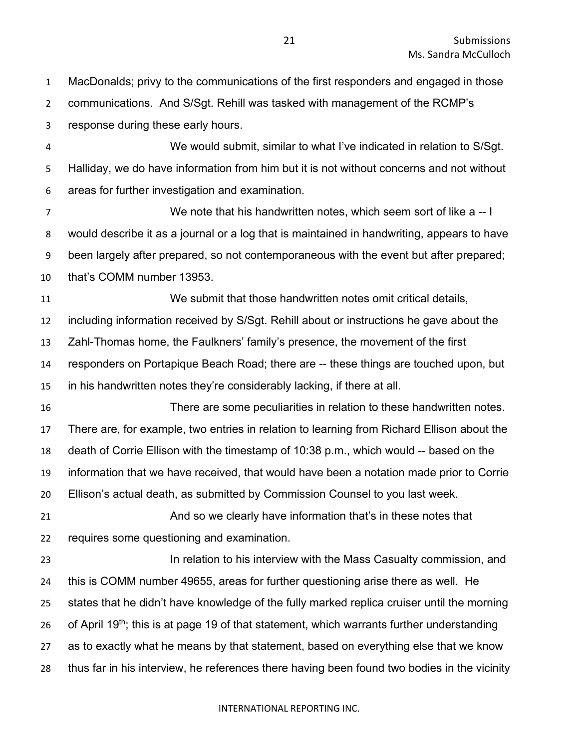MacDonalds; privy to the communications of the first responders and engaged in those communications. And S/Sgt. Rehill was tasked with management of the RCMP's response during these early hours. We would submit, similar to what I've indicated in relation to S/Sgt. Halliday, we do have information from him but it is not without concerns and not without areas for further investigation and examination. We note that his handwritten notes, which seem sort of like a -- I would describe it as a journal or a log that is maintained in handwriting, appears to have been largely after prepared, so not contemporaneous with the event but after prepared; that's COMM number 13953. We submit that those handwritten notes omit critical details, including information received by S/Sgt. Rehill about or instructions he gave about the Zahl-Thomas home, the Faulkners' family's presence, the movement of the first responders on Portapique Beach Road; there are -- these things are touched upon, but in his handwritten notes they're considerably lacking, if there at all. There are some peculiarities in relation to these handwritten notes. There are, for example, two entries in relation to learning from Richard Ellison about the death of Corrie Ellison with the timestamp of 10:38 p.m., which would -- based on the information that we have received, that would have been a notation made prior to Corrie Ellison's actual death, as submitted by Commission Counsel to you last week. And so we clearly have information that's in these notes that requires some questioning and examination. **In relation to his interview with the Mass Casualty commission, and**  this is COMM number 49655, areas for further questioning arise there as well. He states that he didn't have knowledge of the fully marked replica cruiser until the morning 26 of April 19<sup>th</sup>; this is at page 19 of that statement, which warrants further understanding as to exactly what he means by that statement, based on everything else that we know thus far in his interview, he references there having been found two bodies in the vicinity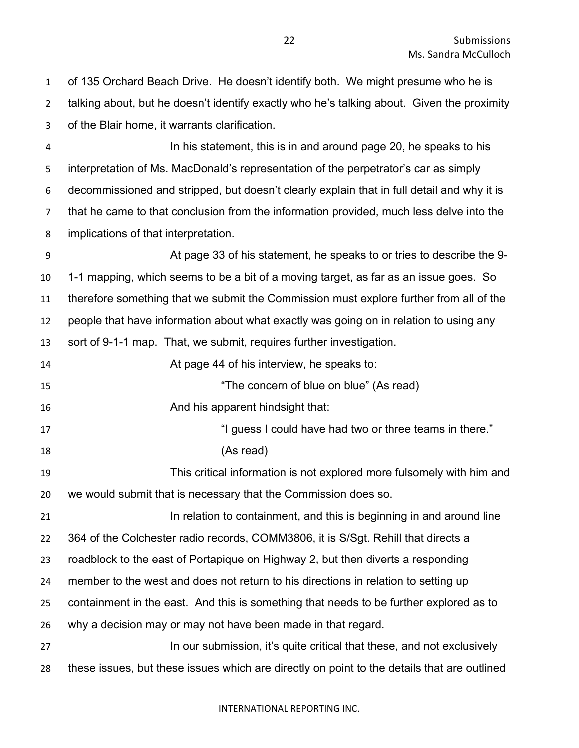of 135 Orchard Beach Drive. He doesn't identify both. We might presume who he is talking about, but he doesn't identify exactly who he's talking about. Given the proximity of the Blair home, it warrants clarification.

 In his statement, this is in and around page 20, he speaks to his interpretation of Ms. MacDonald's representation of the perpetrator's car as simply decommissioned and stripped, but doesn't clearly explain that in full detail and why it is that he came to that conclusion from the information provided, much less delve into the implications of that interpretation.

 At page 33 of his statement, he speaks to or tries to describe the 9- 1-1 mapping, which seems to be a bit of a moving target, as far as an issue goes. So therefore something that we submit the Commission must explore further from all of the people that have information about what exactly was going on in relation to using any sort of 9-1-1 map. That, we submit, requires further investigation. At page 44 of his interview, he speaks to: 15 The concern of blue on blue" (As read) **And his apparent hindsight that: 17 I guess I could have had two or three teams in there."**  (As read) This critical information is not explored more fulsomely with him and we would submit that is necessary that the Commission does so. In relation to containment, and this is beginning in and around line 364 of the Colchester radio records, COMM3806, it is S/Sgt. Rehill that directs a roadblock to the east of Portapique on Highway 2, but then diverts a responding member to the west and does not return to his directions in relation to setting up containment in the east. And this is something that needs to be further explored as to why a decision may or may not have been made in that regard. 27 In our submission, it's quite critical that these, and not exclusively these issues, but these issues which are directly on point to the details that are outlined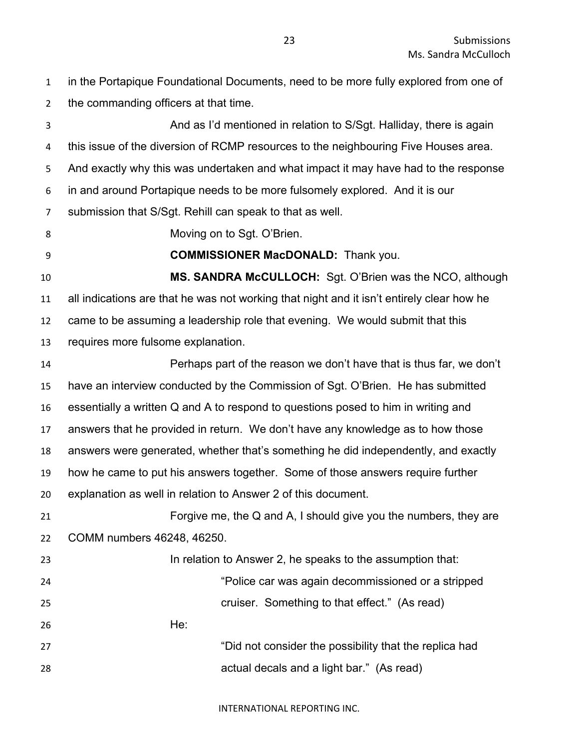in the Portapique Foundational Documents, need to be more fully explored from one of the commanding officers at that time.

 And as I'd mentioned in relation to S/Sgt. Halliday, there is again this issue of the diversion of RCMP resources to the neighbouring Five Houses area. And exactly why this was undertaken and what impact it may have had to the response in and around Portapique needs to be more fulsomely explored. And it is our submission that S/Sgt. Rehill can speak to that as well. Moving on to Sgt. O'Brien. **COMMISSIONER MacDONALD:** Thank you. **MS. SANDRA McCULLOCH:** Sgt. O'Brien was the NCO, although all indications are that he was not working that night and it isn't entirely clear how he came to be assuming a leadership role that evening. We would submit that this requires more fulsome explanation. Perhaps part of the reason we don't have that is thus far, we don't have an interview conducted by the Commission of Sgt. O'Brien. He has submitted essentially a written Q and A to respond to questions posed to him in writing and answers that he provided in return. We don't have any knowledge as to how those answers were generated, whether that's something he did independently, and exactly how he came to put his answers together. Some of those answers require further explanation as well in relation to Answer 2 of this document. Forgive me, the Q and A, I should give you the numbers, they are COMM numbers 46248, 46250. In relation to Answer 2, he speaks to the assumption that: "Police car was again decommissioned or a stripped cruiser. Something to that effect." (As read) He: "Did not consider the possibility that the replica had actual decals and a light bar." (As read)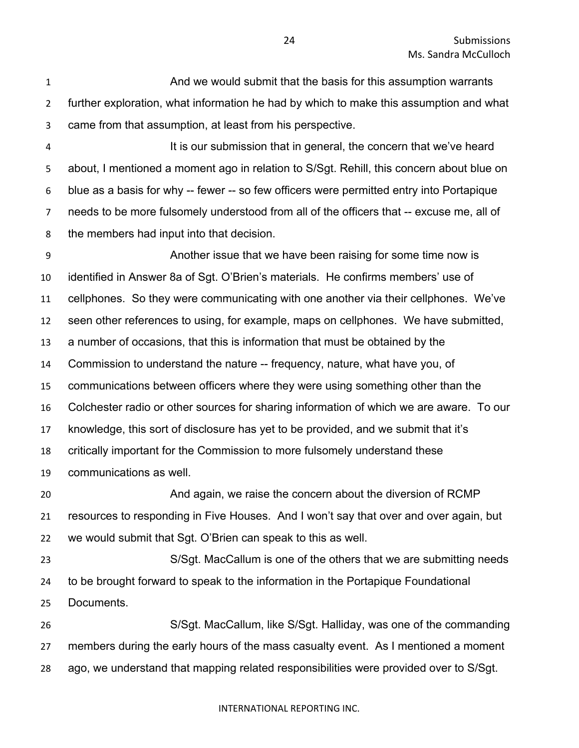And we would submit that the basis for this assumption warrants further exploration, what information he had by which to make this assumption and what came from that assumption, at least from his perspective.

4 It is our submission that in general, the concern that we've heard about, I mentioned a moment ago in relation to S/Sgt. Rehill, this concern about blue on blue as a basis for why -- fewer -- so few officers were permitted entry into Portapique needs to be more fulsomely understood from all of the officers that -- excuse me, all of the members had input into that decision.

 Another issue that we have been raising for some time now is identified in Answer 8a of Sgt. O'Brien's materials. He confirms members' use of cellphones. So they were communicating with one another via their cellphones. We've seen other references to using, for example, maps on cellphones. We have submitted, a number of occasions, that this is information that must be obtained by the Commission to understand the nature -- frequency, nature, what have you, of communications between officers where they were using something other than the Colchester radio or other sources for sharing information of which we are aware. To our knowledge, this sort of disclosure has yet to be provided, and we submit that it's critically important for the Commission to more fulsomely understand these communications as well. And again, we raise the concern about the diversion of RCMP resources to responding in Five Houses. And I won't say that over and over again, but we would submit that Sgt. O'Brien can speak to this as well. S/Sgt. MacCallum is one of the others that we are submitting needs to be brought forward to speak to the information in the Portapique Foundational Documents. S/Sgt. MacCallum, like S/Sgt. Halliday, was one of the commanding members during the early hours of the mass casualty event. As I mentioned a moment

ago, we understand that mapping related responsibilities were provided over to S/Sgt.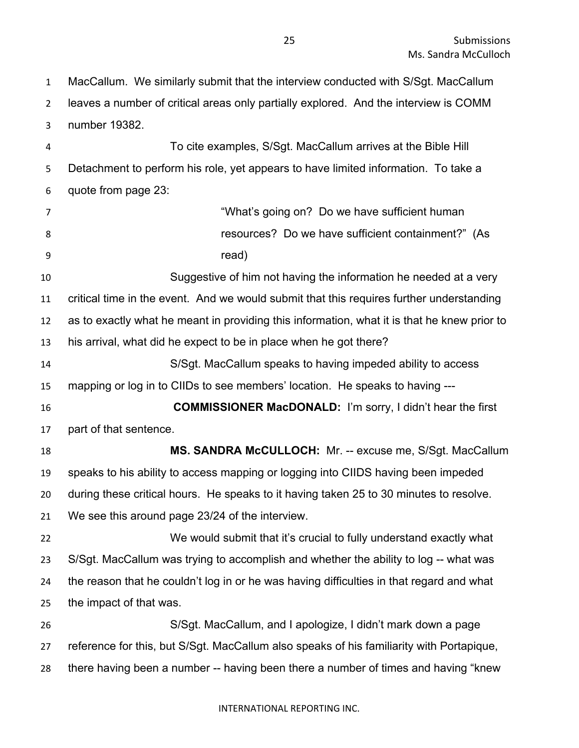MacCallum. We similarly submit that the interview conducted with S/Sgt. MacCallum leaves a number of critical areas only partially explored. And the interview is COMM number 19382.

 To cite examples, S/Sgt. MacCallum arrives at the Bible Hill Detachment to perform his role, yet appears to have limited information. To take a quote from page 23:

 "What's going on? Do we have sufficient human resources? Do we have sufficient containment?" (As read) Suggestive of him not having the information he needed at a very critical time in the event. And we would submit that this requires further understanding as to exactly what he meant in providing this information, what it is that he knew prior to his arrival, what did he expect to be in place when he got there? S/Sgt. MacCallum speaks to having impeded ability to access mapping or log in to CIIDs to see members' location. He speaks to having --- **COMMISSIONER MacDONALD:** I'm sorry, I didn't hear the first part of that sentence. **MS. SANDRA McCULLOCH:** Mr. -- excuse me, S/Sgt. MacCallum speaks to his ability to access mapping or logging into CIIDS having been impeded during these critical hours. He speaks to it having taken 25 to 30 minutes to resolve. We see this around page 23/24 of the interview. We would submit that it's crucial to fully understand exactly what S/Sgt. MacCallum was trying to accomplish and whether the ability to log -- what was the reason that he couldn't log in or he was having difficulties in that regard and what the impact of that was. S/Sgt. MacCallum, and I apologize, I didn't mark down a page reference for this, but S/Sgt. MacCallum also speaks of his familiarity with Portapique, there having been a number -- having been there a number of times and having "knew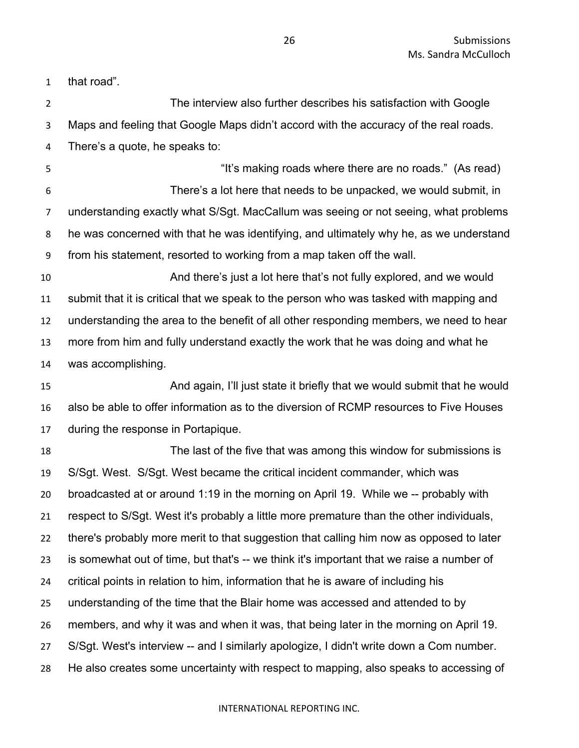that road".

 The interview also further describes his satisfaction with Google Maps and feeling that Google Maps didn't accord with the accuracy of the real roads. There's a quote, he speaks to: "It's making roads where there are no roads." (As read) There's a lot here that needs to be unpacked, we would submit, in understanding exactly what S/Sgt. MacCallum was seeing or not seeing, what problems he was concerned with that he was identifying, and ultimately why he, as we understand from his statement, resorted to working from a map taken off the wall. And there's just a lot here that's not fully explored, and we would submit that it is critical that we speak to the person who was tasked with mapping and understanding the area to the benefit of all other responding members, we need to hear more from him and fully understand exactly the work that he was doing and what he was accomplishing. And again, I'll just state it briefly that we would submit that he would also be able to offer information as to the diversion of RCMP resources to Five Houses during the response in Portapique. The last of the five that was among this window for submissions is S/Sgt. West. S/Sgt. West became the critical incident commander, which was broadcasted at or around 1:19 in the morning on April 19. While we -- probably with respect to S/Sgt. West it's probably a little more premature than the other individuals, there's probably more merit to that suggestion that calling him now as opposed to later is somewhat out of time, but that's -- we think it's important that we raise a number of critical points in relation to him, information that he is aware of including his understanding of the time that the Blair home was accessed and attended to by members, and why it was and when it was, that being later in the morning on April 19. S/Sgt. West's interview -- and I similarly apologize, I didn't write down a Com number. He also creates some uncertainty with respect to mapping, also speaks to accessing of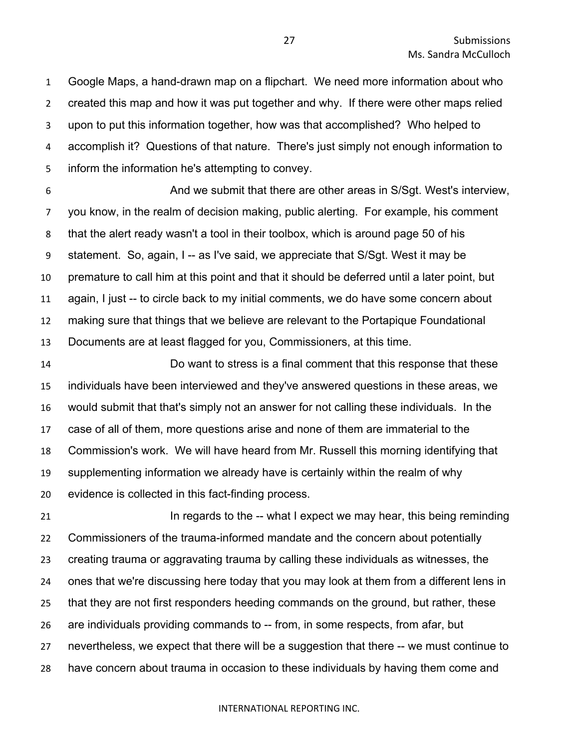Google Maps, a hand-drawn map on a flipchart. We need more information about who created this map and how it was put together and why. If there were other maps relied upon to put this information together, how was that accomplished? Who helped to accomplish it? Questions of that nature. There's just simply not enough information to inform the information he's attempting to convey.

 And we submit that there are other areas in S/Sgt. West's interview, you know, in the realm of decision making, public alerting. For example, his comment that the alert ready wasn't a tool in their toolbox, which is around page 50 of his statement. So, again, I -- as I've said, we appreciate that S/Sgt. West it may be premature to call him at this point and that it should be deferred until a later point, but again, I just -- to circle back to my initial comments, we do have some concern about making sure that things that we believe are relevant to the Portapique Foundational Documents are at least flagged for you, Commissioners, at this time.

 Do want to stress is a final comment that this response that these individuals have been interviewed and they've answered questions in these areas, we would submit that that's simply not an answer for not calling these individuals. In the case of all of them, more questions arise and none of them are immaterial to the Commission's work. We will have heard from Mr. Russell this morning identifying that supplementing information we already have is certainly within the realm of why evidence is collected in this fact-finding process.

**In regards to the -- what I expect we may hear, this being reminding 1**  Commissioners of the trauma-informed mandate and the concern about potentially creating trauma or aggravating trauma by calling these individuals as witnesses, the ones that we're discussing here today that you may look at them from a different lens in that they are not first responders heeding commands on the ground, but rather, these are individuals providing commands to -- from, in some respects, from afar, but nevertheless, we expect that there will be a suggestion that there -- we must continue to have concern about trauma in occasion to these individuals by having them come and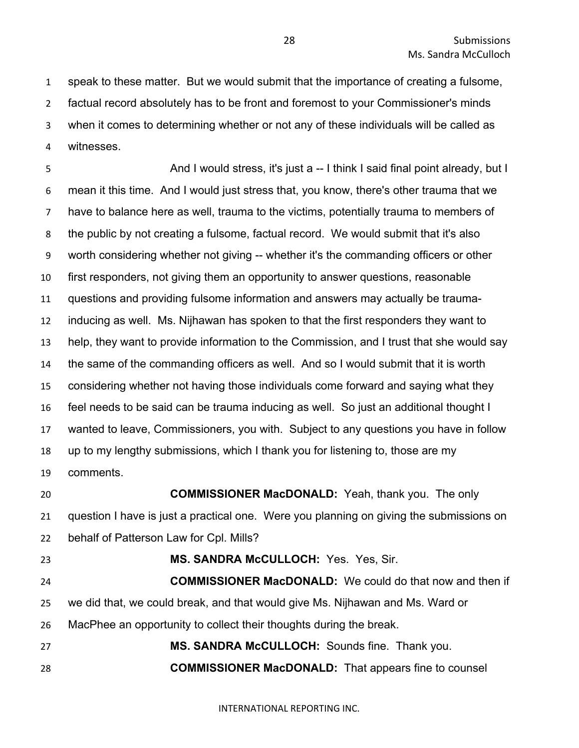speak to these matter. But we would submit that the importance of creating a fulsome, factual record absolutely has to be front and foremost to your Commissioner's minds when it comes to determining whether or not any of these individuals will be called as witnesses.

5 And I would stress, it's just a -- I think I said final point already, but I mean it this time. And I would just stress that, you know, there's other trauma that we have to balance here as well, trauma to the victims, potentially trauma to members of the public by not creating a fulsome, factual record. We would submit that it's also worth considering whether not giving -- whether it's the commanding officers or other first responders, not giving them an opportunity to answer questions, reasonable questions and providing fulsome information and answers may actually be trauma- inducing as well. Ms. Nijhawan has spoken to that the first responders they want to help, they want to provide information to the Commission, and I trust that she would say the same of the commanding officers as well. And so I would submit that it is worth considering whether not having those individuals come forward and saying what they feel needs to be said can be trauma inducing as well. So just an additional thought I wanted to leave, Commissioners, you with. Subject to any questions you have in follow up to my lengthy submissions, which I thank you for listening to, those are my comments.

**COMMISSIONER MacDONALD:** Yeah, thank you. The only

 question I have is just a practical one. Were you planning on giving the submissions on behalf of Patterson Law for Cpl. Mills?

#### **MS. SANDRA McCULLOCH:** Yes. Yes, Sir.

 **COMMISSIONER MacDONALD:** We could do that now and then if we did that, we could break, and that would give Ms. Nijhawan and Ms. Ward or MacPhee an opportunity to collect their thoughts during the break.

 **MS. SANDRA McCULLOCH:** Sounds fine. Thank you. **COMMISSIONER MacDONALD:** That appears fine to counsel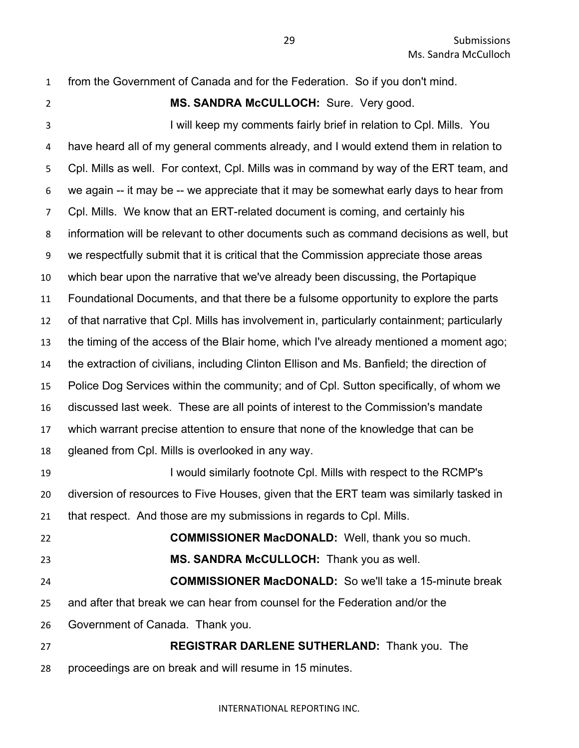- from the Government of Canada and for the Federation. So if you don't mind.
- **MS. SANDRA McCULLOCH:** Sure. Very good.

3 I will keep my comments fairly brief in relation to Cpl. Mills. You have heard all of my general comments already, and I would extend them in relation to Cpl. Mills as well. For context, Cpl. Mills was in command by way of the ERT team, and we again -- it may be -- we appreciate that it may be somewhat early days to hear from Cpl. Mills. We know that an ERT-related document is coming, and certainly his information will be relevant to other documents such as command decisions as well, but we respectfully submit that it is critical that the Commission appreciate those areas which bear upon the narrative that we've already been discussing, the Portapique Foundational Documents, and that there be a fulsome opportunity to explore the parts of that narrative that Cpl. Mills has involvement in, particularly containment; particularly the timing of the access of the Blair home, which I've already mentioned a moment ago; the extraction of civilians, including Clinton Ellison and Ms. Banfield; the direction of Police Dog Services within the community; and of Cpl. Sutton specifically, of whom we discussed last week. These are all points of interest to the Commission's mandate which warrant precise attention to ensure that none of the knowledge that can be gleaned from Cpl. Mills is overlooked in any way. I would similarly footnote Cpl. Mills with respect to the RCMP's diversion of resources to Five Houses, given that the ERT team was similarly tasked in that respect. And those are my submissions in regards to Cpl. Mills. **COMMISSIONER MacDONALD:** Well, thank you so much. **MS. SANDRA McCULLOCH:** Thank you as well. **COMMISSIONER MacDONALD:** So we'll take a 15-minute break and after that break we can hear from counsel for the Federation and/or the Government of Canada. Thank you.

 **REGISTRAR DARLENE SUTHERLAND:** Thank you. The proceedings are on break and will resume in 15 minutes.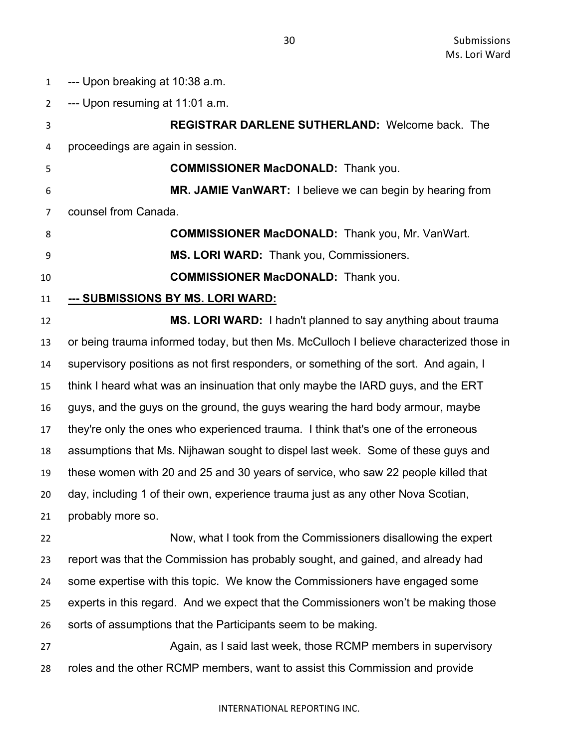--- Upon breaking at 10:38 a.m.

 --- Upon resuming at 11:01 a.m. **REGISTRAR DARLENE SUTHERLAND:** Welcome back. The proceedings are again in session. **COMMISSIONER MacDONALD:** Thank you. **MR. JAMIE VanWART:** I believe we can begin by hearing from counsel from Canada. **COMMISSIONER MacDONALD:** Thank you, Mr. VanWart. **MS. LORI WARD:** Thank you, Commissioners. **COMMISSIONER MacDONALD:** Thank you. **--- SUBMISSIONS BY MS. LORI WARD: MS. LORI WARD:** I hadn't planned to say anything about trauma or being trauma informed today, but then Ms. McCulloch I believe characterized those in supervisory positions as not first responders, or something of the sort. And again, I think I heard what was an insinuation that only maybe the IARD guys, and the ERT guys, and the guys on the ground, the guys wearing the hard body armour, maybe they're only the ones who experienced trauma. I think that's one of the erroneous assumptions that Ms. Nijhawan sought to dispel last week. Some of these guys and these women with 20 and 25 and 30 years of service, who saw 22 people killed that day, including 1 of their own, experience trauma just as any other Nova Scotian, probably more so. Now, what I took from the Commissioners disallowing the expert report was that the Commission has probably sought, and gained, and already had some expertise with this topic. We know the Commissioners have engaged some experts in this regard. And we expect that the Commissioners won't be making those sorts of assumptions that the Participants seem to be making. 27 Again, as I said last week, those RCMP members in supervisory roles and the other RCMP members, want to assist this Commission and provide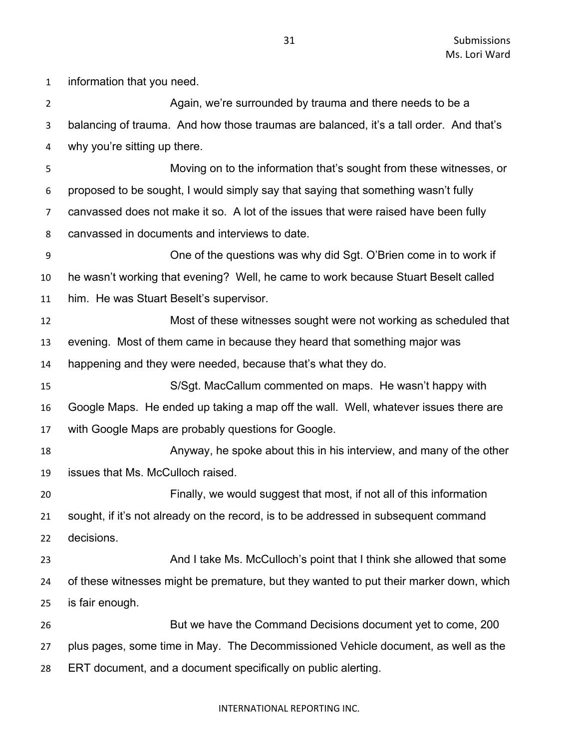information that you need. Again, we're surrounded by trauma and there needs to be a balancing of trauma. And how those traumas are balanced, it's a tall order. And that's why you're sitting up there. Moving on to the information that's sought from these witnesses, or proposed to be sought, I would simply say that saying that something wasn't fully canvassed does not make it so. A lot of the issues that were raised have been fully canvassed in documents and interviews to date. One of the questions was why did Sgt. O'Brien come in to work if he wasn't working that evening? Well, he came to work because Stuart Beselt called him. He was Stuart Beselt's supervisor. Most of these witnesses sought were not working as scheduled that evening. Most of them came in because they heard that something major was happening and they were needed, because that's what they do. S/Sgt. MacCallum commented on maps. He wasn't happy with Google Maps. He ended up taking a map off the wall. Well, whatever issues there are with Google Maps are probably questions for Google. **Anyway, he spoke about this in his interview, and many of the other**  issues that Ms. McCulloch raised. Finally, we would suggest that most, if not all of this information sought, if it's not already on the record, is to be addressed in subsequent command decisions. 23 And I take Ms. McCulloch's point that I think she allowed that some of these witnesses might be premature, but they wanted to put their marker down, which is fair enough. But we have the Command Decisions document yet to come, 200 plus pages, some time in May. The Decommissioned Vehicle document, as well as the ERT document, and a document specifically on public alerting.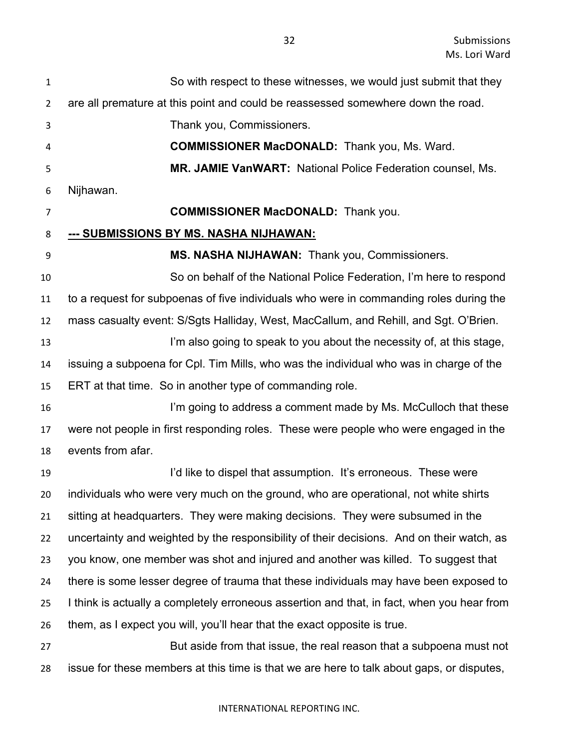| $\mathbf{1}$   | So with respect to these witnesses, we would just submit that they                         |
|----------------|--------------------------------------------------------------------------------------------|
| 2              | are all premature at this point and could be reassessed somewhere down the road.           |
| 3              | Thank you, Commissioners.                                                                  |
| 4              | <b>COMMISSIONER MacDONALD:</b> Thank you, Ms. Ward.                                        |
| 5              | <b>MR. JAMIE VanWART: National Police Federation counsel, Ms.</b>                          |
| 6              | Nijhawan.                                                                                  |
| $\overline{7}$ | <b>COMMISSIONER MacDONALD:</b> Thank you.                                                  |
| 8              | <u>--- SUBMISSIONS BY MS. NASHA NIJHAWAN:</u>                                              |
| 9              | MS. NASHA NIJHAWAN: Thank you, Commissioners.                                              |
| 10             | So on behalf of the National Police Federation, I'm here to respond                        |
| 11             | to a request for subpoenas of five individuals who were in commanding roles during the     |
| 12             | mass casualty event: S/Sgts Halliday, West, MacCallum, and Rehill, and Sgt. O'Brien.       |
| 13             | I'm also going to speak to you about the necessity of, at this stage,                      |
| 14             | issuing a subpoena for Cpl. Tim Mills, who was the individual who was in charge of the     |
| 15             | ERT at that time. So in another type of commanding role.                                   |
| 16             | I'm going to address a comment made by Ms. McCulloch that these                            |
| 17             | were not people in first responding roles. These were people who were engaged in the       |
| 18             | events from afar.                                                                          |
| 19             | I'd like to dispel that assumption. It's erroneous. These were                             |
| 20             | individuals who were very much on the ground, who are operational, not white shirts        |
| 21             | sitting at headquarters. They were making decisions. They were subsumed in the             |
| 22             | uncertainty and weighted by the responsibility of their decisions. And on their watch, as  |
| 23             | you know, one member was shot and injured and another was killed. To suggest that          |
| 24             | there is some lesser degree of trauma that these individuals may have been exposed to      |
| 25             | I think is actually a completely erroneous assertion and that, in fact, when you hear from |
| 26             | them, as I expect you will, you'll hear that the exact opposite is true.                   |
| 27             | But aside from that issue, the real reason that a subpoena must not                        |
| 28             | issue for these members at this time is that we are here to talk about gaps, or disputes,  |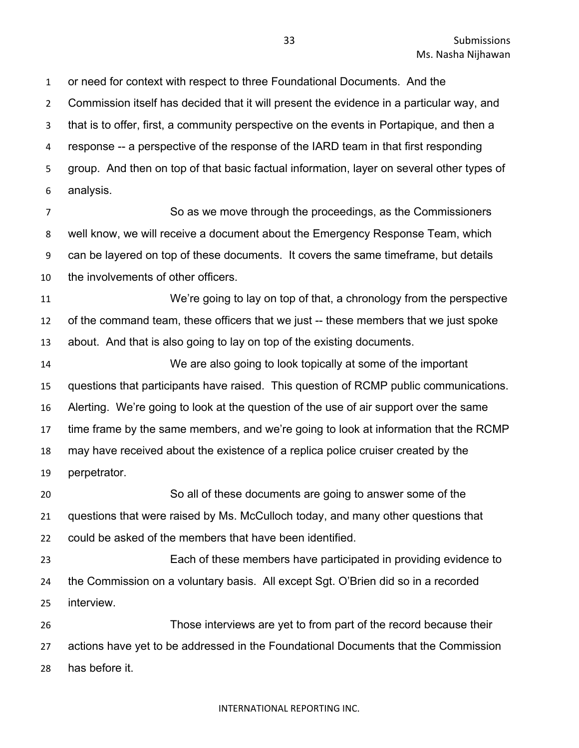or need for context with respect to three Foundational Documents. And the Commission itself has decided that it will present the evidence in a particular way, and that is to offer, first, a community perspective on the events in Portapique, and then a response -- a perspective of the response of the IARD team in that first responding group. And then on top of that basic factual information, layer on several other types of analysis.

 So as we move through the proceedings, as the Commissioners well know, we will receive a document about the Emergency Response Team, which can be layered on top of these documents. It covers the same timeframe, but details the involvements of other officers.

 We're going to lay on top of that, a chronology from the perspective of the command team, these officers that we just -- these members that we just spoke about. And that is also going to lay on top of the existing documents.

 We are also going to look topically at some of the important questions that participants have raised. This question of RCMP public communications. Alerting. We're going to look at the question of the use of air support over the same time frame by the same members, and we're going to look at information that the RCMP may have received about the existence of a replica police cruiser created by the perpetrator. So all of these documents are going to answer some of the

 questions that were raised by Ms. McCulloch today, and many other questions that could be asked of the members that have been identified.

 Each of these members have participated in providing evidence to the Commission on a voluntary basis. All except Sgt. O'Brien did so in a recorded interview.

 Those interviews are yet to from part of the record because their actions have yet to be addressed in the Foundational Documents that the Commission has before it.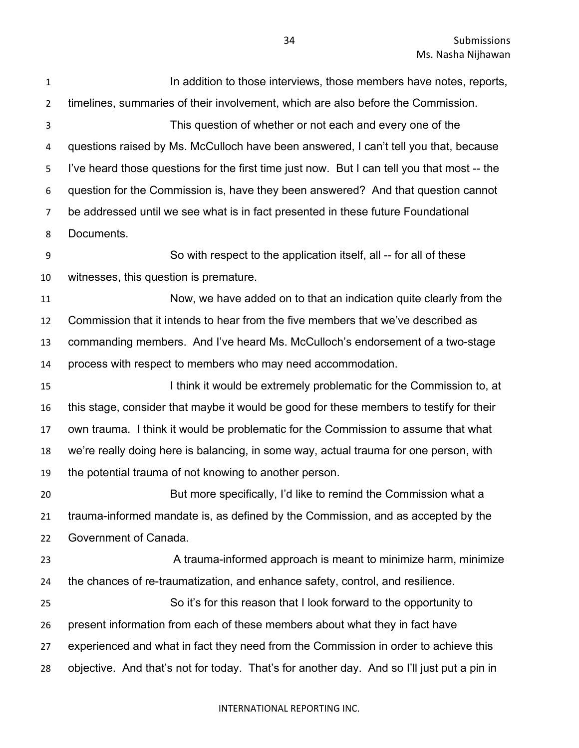Submissions Ms. Nasha Nijhawan

**In addition to those interviews, those members have notes, reports,**  timelines, summaries of their involvement, which are also before the Commission. This question of whether or not each and every one of the questions raised by Ms. McCulloch have been answered, I can't tell you that, because I've heard those questions for the first time just now. But I can tell you that most -- the question for the Commission is, have they been answered? And that question cannot be addressed until we see what is in fact presented in these future Foundational Documents. So with respect to the application itself, all -- for all of these witnesses, this question is premature. Now, we have added on to that an indication quite clearly from the Commission that it intends to hear from the five members that we've described as commanding members. And I've heard Ms. McCulloch's endorsement of a two-stage process with respect to members who may need accommodation. I think it would be extremely problematic for the Commission to, at this stage, consider that maybe it would be good for these members to testify for their own trauma. I think it would be problematic for the Commission to assume that what we're really doing here is balancing, in some way, actual trauma for one person, with the potential trauma of not knowing to another person. But more specifically, I'd like to remind the Commission what a trauma-informed mandate is, as defined by the Commission, and as accepted by the Government of Canada. 23 A trauma-informed approach is meant to minimize harm, minimize the chances of re-traumatization, and enhance safety, control, and resilience. So it's for this reason that I look forward to the opportunity to present information from each of these members about what they in fact have experienced and what in fact they need from the Commission in order to achieve this objective. And that's not for today. That's for another day. And so I'll just put a pin in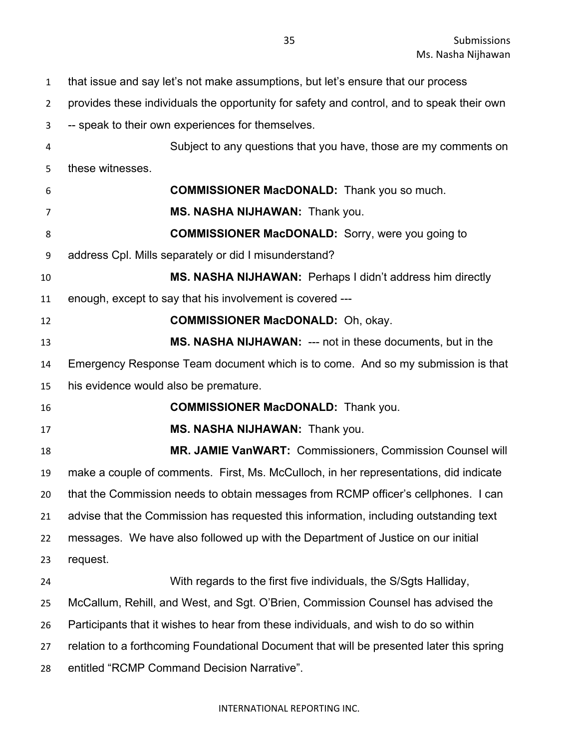that issue and say let's not make assumptions, but let's ensure that our process

provides these individuals the opportunity for safety and control, and to speak their own

-- speak to their own experiences for themselves.

 Subject to any questions that you have, those are my comments on these witnesses.

 **COMMISSIONER MacDONALD:** Thank you so much. **MS. NASHA NIJHAWAN:** Thank you. **COMMISSIONER MacDONALD:** Sorry, were you going to address Cpl. Mills separately or did I misunderstand? **MS. NASHA NIJHAWAN:** Perhaps I didn't address him directly enough, except to say that his involvement is covered --- **COMMISSIONER MacDONALD:** Oh, okay. **MS. NASHA NIJHAWAN:** --- not in these documents, but in the Emergency Response Team document which is to come. And so my submission is that his evidence would also be premature. **COMMISSIONER MacDONALD:** Thank you. **MS. NASHA NIJHAWAN:** Thank you. **MR. JAMIE VanWART:** Commissioners, Commission Counsel will make a couple of comments. First, Ms. McCulloch, in her representations, did indicate that the Commission needs to obtain messages from RCMP officer's cellphones. I can advise that the Commission has requested this information, including outstanding text messages. We have also followed up with the Department of Justice on our initial request. With regards to the first five individuals, the S/Sgts Halliday, McCallum, Rehill, and West, and Sgt. O'Brien, Commission Counsel has advised the Participants that it wishes to hear from these individuals, and wish to do so within relation to a forthcoming Foundational Document that will be presented later this spring entitled "RCMP Command Decision Narrative".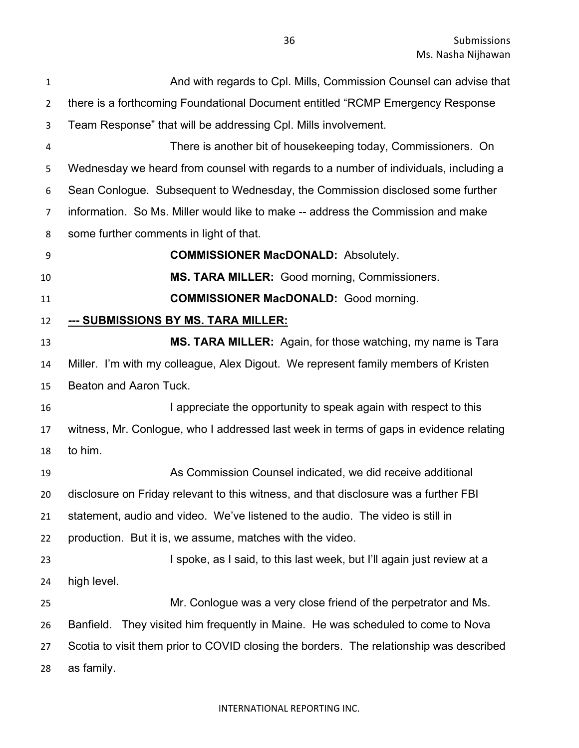Submissions Ms. Nasha Nijhawan

| 1              | And with regards to Cpl. Mills, Commission Counsel can advise that                      |
|----------------|-----------------------------------------------------------------------------------------|
| $\overline{2}$ | there is a forthcoming Foundational Document entitled "RCMP Emergency Response          |
| 3              | Team Response" that will be addressing Cpl. Mills involvement.                          |
| 4              | There is another bit of housekeeping today, Commissioners. On                           |
| 5              | Wednesday we heard from counsel with regards to a number of individuals, including a    |
| 6              | Sean Conlogue. Subsequent to Wednesday, the Commission disclosed some further           |
| $\overline{7}$ | information. So Ms. Miller would like to make -- address the Commission and make        |
| 8              | some further comments in light of that.                                                 |
| 9              | <b>COMMISSIONER MacDONALD: Absolutely.</b>                                              |
| 10             | MS. TARA MILLER: Good morning, Commissioners.                                           |
| 11             | <b>COMMISSIONER MacDONALD:</b> Good morning.                                            |
| 12             | <u>--- SUBMISSIONS BY MS. TARA MILLER:</u>                                              |
| 13             | MS. TARA MILLER: Again, for those watching, my name is Tara                             |
| 14             | Miller. I'm with my colleague, Alex Digout. We represent family members of Kristen      |
| 15             | Beaton and Aaron Tuck.                                                                  |
| 16             | I appreciate the opportunity to speak again with respect to this                        |
| 17             | witness, Mr. Conlogue, who I addressed last week in terms of gaps in evidence relating  |
| 18             | to him.                                                                                 |
| 19             | As Commission Counsel indicated, we did receive additional                              |
| 20             | disclosure on Friday relevant to this witness, and that disclosure was a further FBI    |
| 21             | statement, audio and video. We've listened to the audio. The video is still in          |
| 22             | production. But it is, we assume, matches with the video.                               |
| 23             | I spoke, as I said, to this last week, but I'll again just review at a                  |
| 24             | high level.                                                                             |
| 25             | Mr. Conlogue was a very close friend of the perpetrator and Ms.                         |
| 26             | Banfield. They visited him frequently in Maine. He was scheduled to come to Nova        |
| 27             | Scotia to visit them prior to COVID closing the borders. The relationship was described |
| 28             | as family.                                                                              |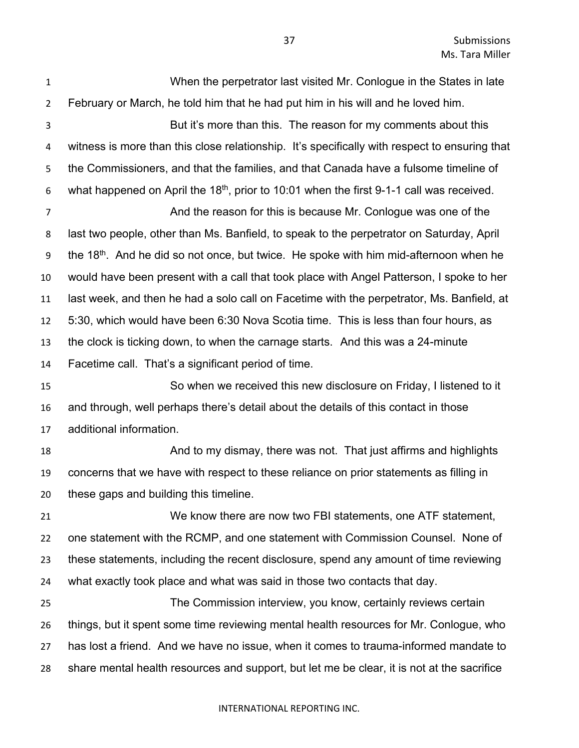When the perpetrator last visited Mr. Conlogue in the States in late February or March, he told him that he had put him in his will and he loved him. But it's more than this. The reason for my comments about this witness is more than this close relationship. It's specifically with respect to ensuring that the Commissioners, and that the families, and that Canada have a fulsome timeline of 6 what happened on April the 18<sup>th</sup>, prior to 10:01 when the first 9-1-1 call was received. And the reason for this is because Mr. Conlogue was one of the last two people, other than Ms. Banfield, to speak to the perpetrator on Saturday, April 9 the 18<sup>th</sup>. And he did so not once, but twice. He spoke with him mid-afternoon when he would have been present with a call that took place with Angel Patterson, I spoke to her last week, and then he had a solo call on Facetime with the perpetrator, Ms. Banfield, at 5:30, which would have been 6:30 Nova Scotia time. This is less than four hours, as the clock is ticking down, to when the carnage starts. And this was a 24-minute Facetime call. That's a significant period of time. So when we received this new disclosure on Friday, I listened to it and through, well perhaps there's detail about the details of this contact in those additional information. 18 And to my dismay, there was not. That just affirms and highlights concerns that we have with respect to these reliance on prior statements as filling in these gaps and building this timeline. We know there are now two FBI statements, one ATF statement, one statement with the RCMP, and one statement with Commission Counsel. None of these statements, including the recent disclosure, spend any amount of time reviewing what exactly took place and what was said in those two contacts that day. The Commission interview, you know, certainly reviews certain things, but it spent some time reviewing mental health resources for Mr. Conlogue, who has lost a friend. And we have no issue, when it comes to trauma-informed mandate to share mental health resources and support, but let me be clear, it is not at the sacrifice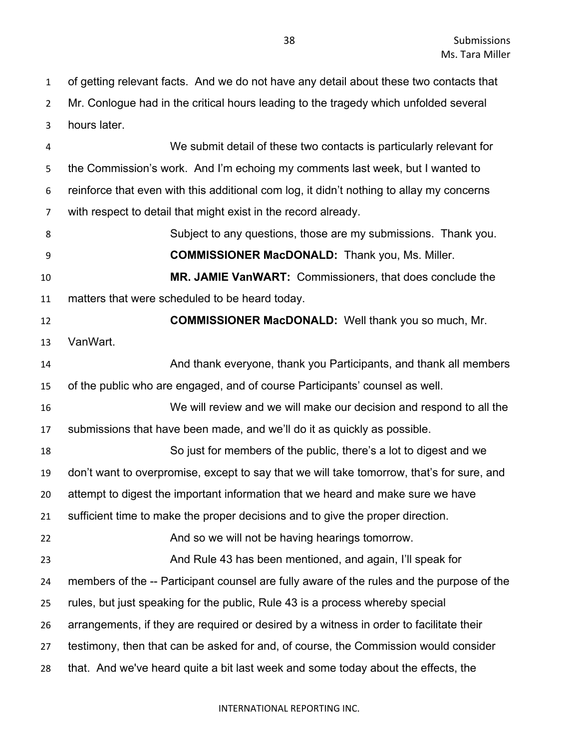of getting relevant facts. And we do not have any detail about these two contacts that Mr. Conlogue had in the critical hours leading to the tragedy which unfolded several hours later.

 We submit detail of these two contacts is particularly relevant for the Commission's work. And I'm echoing my comments last week, but I wanted to reinforce that even with this additional com log, it didn't nothing to allay my concerns with respect to detail that might exist in the record already. Subject to any questions, those are my submissions. Thank you. **COMMISSIONER MacDONALD:** Thank you, Ms. Miller. **MR. JAMIE VanWART:** Commissioners, that does conclude the matters that were scheduled to be heard today. **COMMISSIONER MacDONALD:** Well thank you so much, Mr. VanWart. And thank everyone, thank you Participants, and thank all members of the public who are engaged, and of course Participants' counsel as well. We will review and we will make our decision and respond to all the submissions that have been made, and we'll do it as quickly as possible. So just for members of the public, there's a lot to digest and we don't want to overpromise, except to say that we will take tomorrow, that's for sure, and attempt to digest the important information that we heard and make sure we have sufficient time to make the proper decisions and to give the proper direction. And so we will not be having hearings tomorrow. And Rule 43 has been mentioned, and again, I'll speak for members of the -- Participant counsel are fully aware of the rules and the purpose of the rules, but just speaking for the public, Rule 43 is a process whereby special arrangements, if they are required or desired by a witness in order to facilitate their testimony, then that can be asked for and, of course, the Commission would consider that. And we've heard quite a bit last week and some today about the effects, the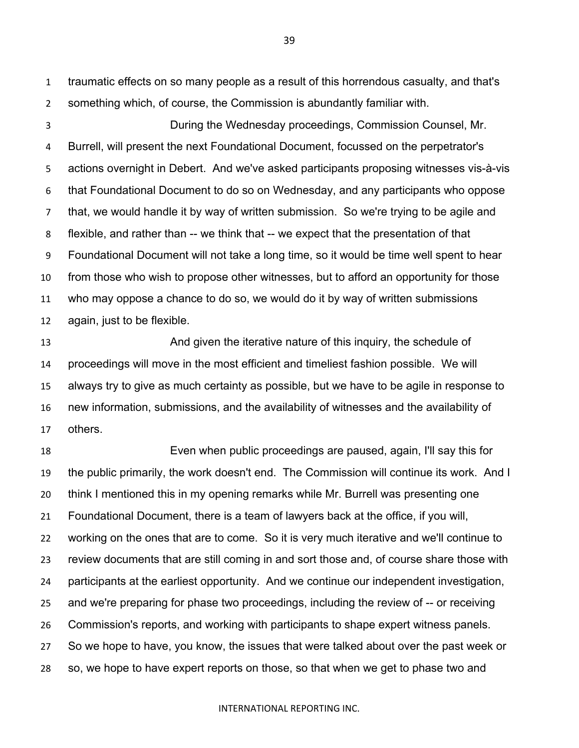traumatic effects on so many people as a result of this horrendous casualty, and that's something which, of course, the Commission is abundantly familiar with.

 During the Wednesday proceedings, Commission Counsel, Mr. Burrell, will present the next Foundational Document, focussed on the perpetrator's actions overnight in Debert. And we've asked participants proposing witnesses vis-à-vis that Foundational Document to do so on Wednesday, and any participants who oppose that, we would handle it by way of written submission. So we're trying to be agile and flexible, and rather than -- we think that -- we expect that the presentation of that Foundational Document will not take a long time, so it would be time well spent to hear from those who wish to propose other witnesses, but to afford an opportunity for those who may oppose a chance to do so, we would do it by way of written submissions again, just to be flexible.

 And given the iterative nature of this inquiry, the schedule of proceedings will move in the most efficient and timeliest fashion possible. We will always try to give as much certainty as possible, but we have to be agile in response to new information, submissions, and the availability of witnesses and the availability of others.

 Even when public proceedings are paused, again, I'll say this for the public primarily, the work doesn't end. The Commission will continue its work. And I think I mentioned this in my opening remarks while Mr. Burrell was presenting one Foundational Document, there is a team of lawyers back at the office, if you will, working on the ones that are to come. So it is very much iterative and we'll continue to review documents that are still coming in and sort those and, of course share those with participants at the earliest opportunity. And we continue our independent investigation, and we're preparing for phase two proceedings, including the review of -- or receiving Commission's reports, and working with participants to shape expert witness panels. So we hope to have, you know, the issues that were talked about over the past week or so, we hope to have expert reports on those, so that when we get to phase two and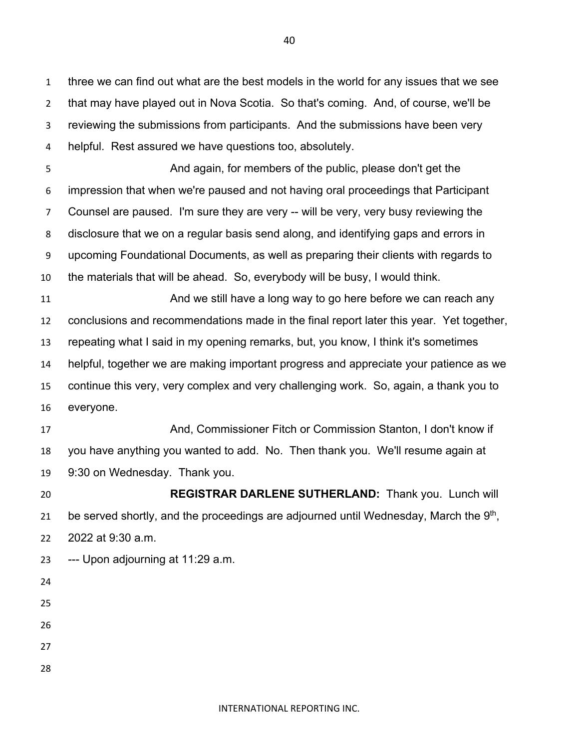three we can find out what are the best models in the world for any issues that we see that may have played out in Nova Scotia. So that's coming. And, of course, we'll be reviewing the submissions from participants. And the submissions have been very helpful. Rest assured we have questions too, absolutely.

 And again, for members of the public, please don't get the impression that when we're paused and not having oral proceedings that Participant Counsel are paused. I'm sure they are very -- will be very, very busy reviewing the disclosure that we on a regular basis send along, and identifying gaps and errors in upcoming Foundational Documents, as well as preparing their clients with regards to the materials that will be ahead. So, everybody will be busy, I would think.

11 And we still have a long way to go here before we can reach any conclusions and recommendations made in the final report later this year. Yet together, repeating what I said in my opening remarks, but, you know, I think it's sometimes helpful, together we are making important progress and appreciate your patience as we continue this very, very complex and very challenging work. So, again, a thank you to everyone.

 And, Commissioner Fitch or Commission Stanton, I don't know if you have anything you wanted to add. No. Then thank you. We'll resume again at 9:30 on Wednesday. Thank you.

 **REGISTRAR DARLENE SUTHERLAND:** Thank you. Lunch will 21 be served shortly, and the proceedings are adjourned until Wednesday, March the  $9<sup>th</sup>$ , 2022 at 9:30 a.m.

- --- Upon adjourning at 11:29 a.m.
- 
- 
- 
- 
- 
- 
-